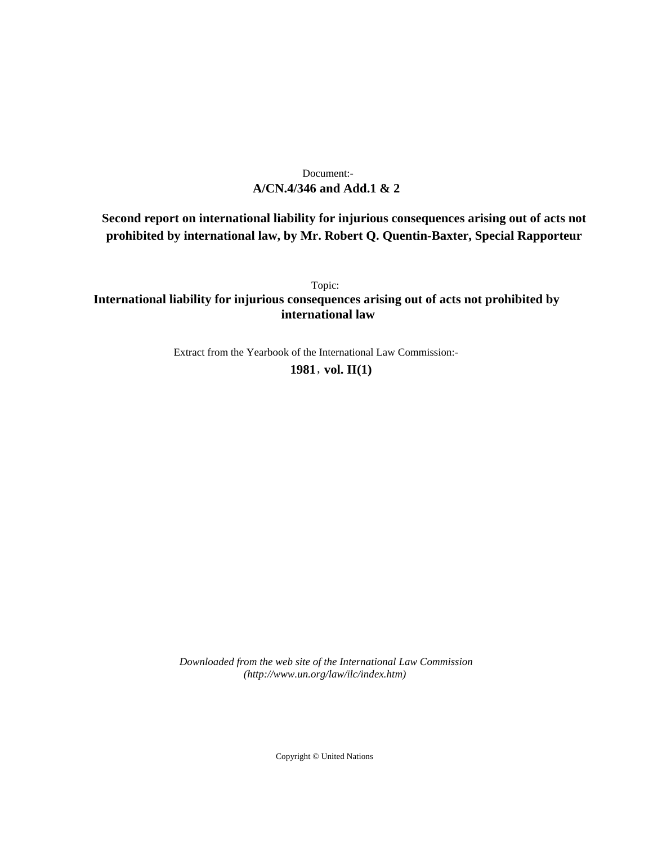## **A/CN.4/346 and Add.1 & 2** Document:-

# **Second report on international liability for injurious consequences arising out of acts not prohibited by international law, by Mr. Robert Q. Quentin-Baxter, Special Rapporteur**

Topic: **International liability for injurious consequences arising out of acts not prohibited by international law**

Extract from the Yearbook of the International Law Commission:-

**1981** , **vol. II(1)**

*Downloaded from the web site of the International Law Commission (http://www.un.org/law/ilc/index.htm)*

Copyright © United Nations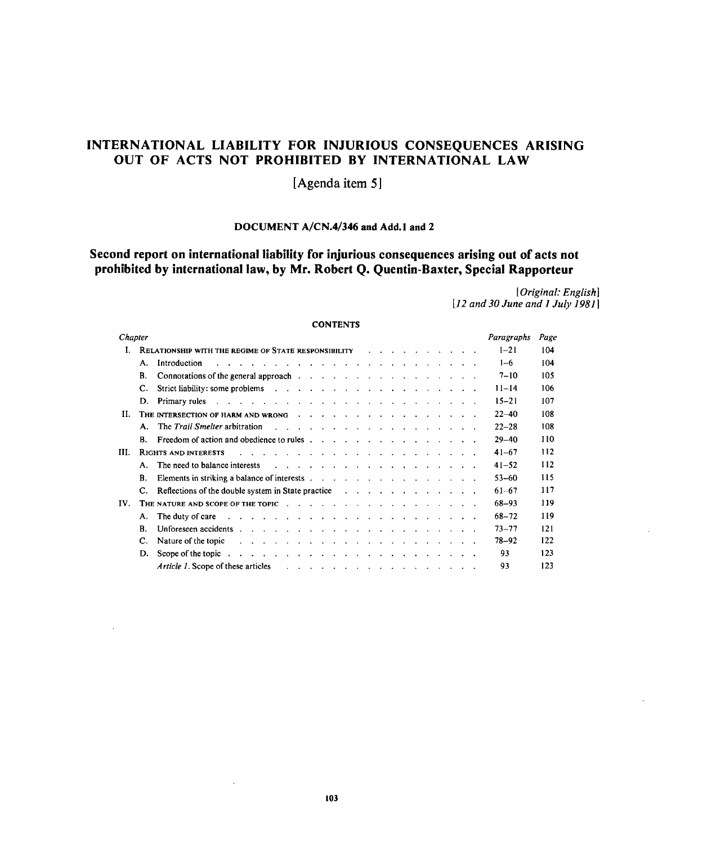# **INTERNATIONAL LIABILITY FOR INJURIOUS CONSEQUENCES ARISING OUT OF ACTS NOT PROHIBITED BY INTERNATIONAL LAW**

**[Agenda item 5]**

## **DOCUMENT A/CN.4/346 and Add.l and 2**

# **Second report on international liability for injurious consequences arising out of acts not prohibited by international law, by Mr. Robert Q. Quentin-Baxter, Special Rapporteur**

*[Original: English] [12 and 30 June and 1 July 1981]*

### **CONTENTS**

| Chapter |                                                      |                                                                                                                                                                                                                                                                       |  |  |  |  |  |  |  |  |  |  |  |  | Paragraphs | Page |
|---------|------------------------------------------------------|-----------------------------------------------------------------------------------------------------------------------------------------------------------------------------------------------------------------------------------------------------------------------|--|--|--|--|--|--|--|--|--|--|--|--|------------|------|
| T.      | RELATIONSHIP WITH THE REGIME OF STATE RESPONSIBILITY |                                                                                                                                                                                                                                                                       |  |  |  |  |  |  |  |  |  |  |  |  | $1 - 21$   | 104  |
|         | А.                                                   | Introduction<br>and a series of the contract of the contract of the contract of the contract of the contract of the contract of                                                                                                                                       |  |  |  |  |  |  |  |  |  |  |  |  | $1-6$      | 104  |
|         | В.                                                   | Connotations of the general approach enterstanding to the connormal state of the general approach of the connormal state of the connormal state of the connormal state of the connormal state of the connormal state of the co                                        |  |  |  |  |  |  |  |  |  |  |  |  | $7 - 10$   | 105  |
|         | C.                                                   |                                                                                                                                                                                                                                                                       |  |  |  |  |  |  |  |  |  |  |  |  | $11 - 14$  | 106  |
|         | D.                                                   |                                                                                                                                                                                                                                                                       |  |  |  |  |  |  |  |  |  |  |  |  | $15 - 21$  | 107  |
| Н.      |                                                      | THE INTERSECTION OF HARM AND WRONG                                                                                                                                                                                                                                    |  |  |  |  |  |  |  |  |  |  |  |  | $22 - 40$  | 108  |
|         |                                                      | A. The Trail Smelter arbitration<br>$\frac{1}{2}$ . The contract of the contract of the contract of the contract of the contract of the contract of the contract of the contract of the contract of the contract of the contract of the contract of the contract of t |  |  |  |  |  |  |  |  |  |  |  |  | $22 - 28$  | 108  |
|         | В.                                                   |                                                                                                                                                                                                                                                                       |  |  |  |  |  |  |  |  |  |  |  |  | $29 - 40$  | 110  |
| Ш.      |                                                      | <b>RIGHTS AND INTERESTS</b><br>and a series of the contract of the contract of the contract of the contract of                                                                                                                                                        |  |  |  |  |  |  |  |  |  |  |  |  | $41 - 67$  | 112  |
|         | А.                                                   | The need to balance interests<br>and the contract of the contract of the contract of the contract of the contract of the contract of the contract of the contract of the contract of the contract of the contract of the contract of the contract of the contra       |  |  |  |  |  |  |  |  |  |  |  |  | $41 - 52$  | 112  |
|         | В.                                                   |                                                                                                                                                                                                                                                                       |  |  |  |  |  |  |  |  |  |  |  |  | $53 - 60$  | 115  |
|         | C.                                                   | Reflections of the double system in State practice response to reflection of the double system in State practice                                                                                                                                                      |  |  |  |  |  |  |  |  |  |  |  |  | $61 - 67$  | 117  |
| IV.     |                                                      |                                                                                                                                                                                                                                                                       |  |  |  |  |  |  |  |  |  |  |  |  | 68-93      | 119  |
|         | А.                                                   | The duty of care<br>and the company of the company of the company of the company of the company of the company of the company of the company of the company of the company of the company of the company of the company of the company of the comp                    |  |  |  |  |  |  |  |  |  |  |  |  | 68-72      | 119  |
|         | B.                                                   |                                                                                                                                                                                                                                                                       |  |  |  |  |  |  |  |  |  |  |  |  | $73 - 77$  | 121  |
|         | C.                                                   | Nature of the topic<br>and the company of the company of the company of the company of the company of the company of the company of the company of the company of the company of the company of the company of the company of the company of the comp                 |  |  |  |  |  |  |  |  |  |  |  |  | 78–92      | 122  |
|         | D.                                                   |                                                                                                                                                                                                                                                                       |  |  |  |  |  |  |  |  |  |  |  |  | 93         | 123  |
|         |                                                      | <i>Article 1.</i> Scope of these articles<br>and a series of the contract and a series of the contract of                                                                                                                                                             |  |  |  |  |  |  |  |  |  |  |  |  | 93         | 123  |

 $\ddot{\phantom{0}}$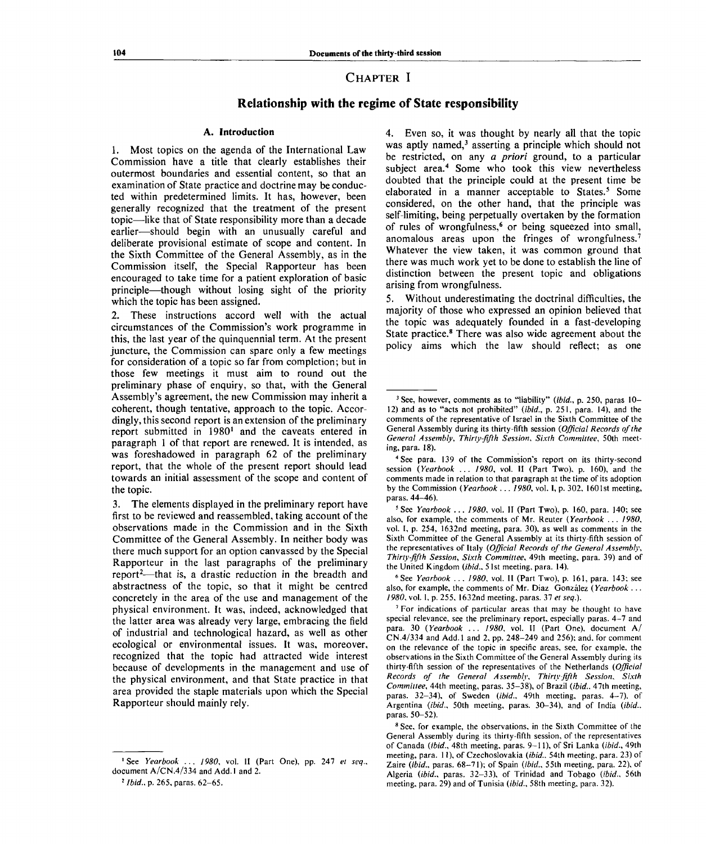## **CHAPTER I**

## **Relationship with the regime of State responsibility**

### **A. Introduction**

1. Most topics on the agenda of the International Law Commission have a title that clearly establishes their outermost boundaries and essential content, so that an examination of State practice and doctrine may be conducted within predetermined limits. It has, however, been generally recognized that the treatment of the present topic—like that of State responsibility more than a decade earlier—should begin with an unusually careful and deliberate provisional estimate of scope and content. In the Sixth Committee of the General Assembly, as in the Commission itself, the Special Rapporteur has been encouraged to take time for a patient exploration of basic principle—though without losing sight of the priority which the topic has been assigned.

2. These instructions accord well with the actual circumstances of the Commission's work programme in this, the last year of the quinquennial term. At the present juncture, the Commission can spare only a few meetings for consideration of a topic so far from completion; but in those few meetings it must aim to round out the preliminary phase of enquiry, so that, with the General Assembly's agreement, the new Commission may inherit a coherent, though tentative, approach to the topic. Accordingly, this second report is an extension of the preliminary report submitted in 1980<sup>1</sup> and the caveats entered in paragraph 1 of that report are renewed. It is intended, as was foreshadowed in paragraph 62 of the preliminary report, that the whole of the present report should lead towards an initial assessment of the scope and content of the topic.

3. The elements displayed in the preliminary report have first to be reviewed and reassembled, taking account of the observations made in the Commission and in the Sixth Committee of the General Assembly. In neither body was there much support for an option canvassed by the Special Rapporteur in the last paragraphs of the preliminary report<sup>2</sup>—that is, a drastic reduction in the breadth and abstractness of the topic, so that it might be centred concretely in the area of the use and management of the physical environment. It was, indeed, acknowledged that the latter area was already very large, embracing the field of industrial and technological hazard, as well as other ecological or environmental issues. It was, moreover, recognized that the topic had attracted wide interest because of developments in the management and use of the physical environment, and that State practice in that area provided the staple materials upon which the Special Rapporteur should mainly rely.

4. Even so, it was thought by nearly all that the topic was aptly named,<sup>3</sup> asserting a principle which should not be restricted, on any *a priori* ground, to a particular subject area.<sup>4</sup> Some who took this view nevertheless doubted that the principle could at the present time be elaborated in a manner acceptable to States.<sup>5</sup> Some considered, on the other hand, that the principle was self-limiting, being perpetually overtaken by the formation of rules of wrongfulness,<sup>6</sup> or being squeezed into small, anomalous areas upon the fringes of wrongfulness.<sup>7</sup> Whatever the view taken, it was common ground that there was much work yet to be done to establish the line of distinction between the present topic and obligations arising from wrongfulness.

5. Without underestimating the doctrinal difficulties, the majority of those who expressed an opinion believed that the topic was adequately founded in a fast-developing State practice.<sup>8</sup> There was also wide agreement about the policy aims which the law should reflect; as one

6 See *Yearbook ... 1980,* vol. II (Part Two), p. 161, para. 143; see also, for example, the comments of Mr. Diaz Gonzalez *(Yearbook . . . 1980,* vol. I, p. 255, 1632nd meeting, paras. 37 *et seq.).*

<sup>&#</sup>x27;See *Yearbook* .. . *1980,* vol. II (Part One), pp. 247 *et seq.,* document A/CN.4/334 and Add.l and 2.

*<sup>2</sup> Ibid.,* p. 265, paras. 62-65.

<sup>3</sup> See, however, comments as to "liability" *(ibid.,* p. 250, paras 10- 12) and as to "acts not prohibited" *(ibid.,* p. 251, para. 14), and the comments of the representative of Israel in the Sixth Committee of the General Assembly during its thirty-fifth session *(Official Records of the General Assembly, Thirty-fifth Session, Sixth Committee,* 50th meeting, para. 18).

<sup>4</sup> See para. 139 of the Commission's report on its thirty-second session *(Yearbook ... 1980,* vol. II (Part Two), p. 160), and the comments made in relation to that paragraph at the time of its adoption by the Commission *(Yearbook ... 1980,* vol. I, p. 302, 1601st meeting, paras. 44-46).

<sup>5</sup> See *Yearbook ... 1980,* vol. II (Part Two), p. 160, para. 140; see also, for example, the comments of Mr. Reuter *(Yearbook* .. . *1980,* vol. I, p. 254, 1632nd meeting, para. 30), as well as comments in the Sixth Committee of the General Assembly at its thirty-fifth session of the representatives of Italy *(Official Records of the General Assembly, Thirty-fifth Session, Sixth Committee,* 49th meeting, para. 39) and of the United Kingdom *(ibid.,* 5 1st meeting, para. 14).

*<sup>1</sup>* For indications of particular areas that may be thought to have special relevance, see the preliminary report, especially paras. 4-7 and para. 30 *(Yearbook ... 1980,* vol. II (Part One), document A/ CN.4/334 and Add.l and 2, pp. 248-249 and 256); and. for comment on the relevance of the topic in specific areas, see. for example, the observations in the Sixth Committee of the General Assembly during its thirty-fifth session of the representatives of the Netherlands *(Official Records of the General Assembly, Thirty-fifth Session, Sixth Committee,* 44th meeting, paras. 35-38), of Brazil *(ibid..* 47th meeting, paras. 32-34), of Sweden *(ibid.,* 49th meeting, paras. 4-7), of Argentina *(ibid.,* 50th meeting, paras. 30-34), and of India *(ibid.,* paras. 50-52).

<sup>&</sup>lt;sup>8</sup> See, for example, the observations, in the Sixth Committee of the General Assembly during its thirty-fifth session, of the representatives of Canada *(ibid.,* 48th meeting, paras. 9-11), of Sri Lanka *(ibid.,* 49th meeting, para. 11), of Czechoslovakia *(ibid..* 54th meeting, para. 23) of Zaire *(ibid.,* paras. 68-71); of Spain *(ibid.,* 55th meeting, para. 22), of Algeria *(ibid.,* paras. 32-33), of Trinidad and Tobago *(ibid.,* 56th meeting, para. 29) and of Tunisia *(ibid.,* 58th meeting, para. 32).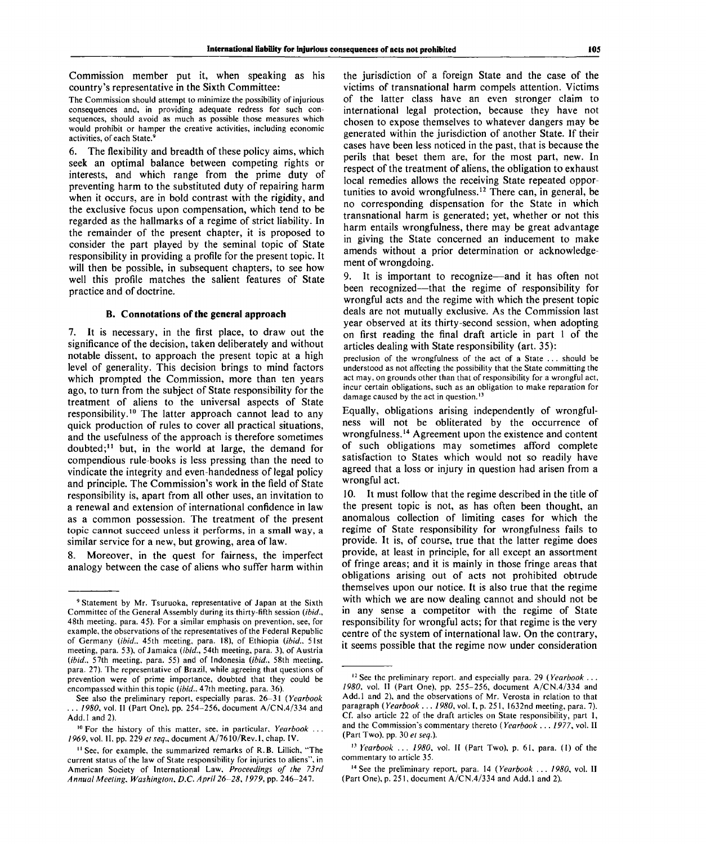Commission member put it, when speaking as his country's representative in the Sixth Committee:

The Commission should attempt to minimize the possibility of injurious consequences and, in providing adequate redress for such consequences, should avoid as much as possible those measures which would prohibit or hamper the creative activities, including economic activities, of each State.<sup>9</sup>

6. The flexibility and breadth of these policy aims, which seek an optimal balance between competing rights or interests, and which range from the prime duty of preventing harm to the substituted duty of repairing harm when it occurs, are in bold contrast with the rigidity, and the exclusive focus upon compensation, which tend to be regarded as the hallmarks of a regime of strict liability. In the remainder of the present chapter, it is proposed to consider the part played by the seminal topic of State responsibility in providing a profile for the present topic. It will then be possible, in subsequent chapters, to see how well this profile matches the salient features of State practice and of doctrine.

#### **B. Connotations of the general approach**

7. It is necessary, in the first place, to draw out the significance of the decision, taken deliberately and without notable dissent, to approach the present topic at a high level of generality. This decision brings to mind factors which prompted the Commission, more than ten years ago, to turn from the subject of State responsibility for the treatment of aliens to the universal aspects of State responsibility.<sup>10</sup> The latter approach cannot lead to any quick production of rules to cover all practical situations, and the usefulness of the approach is therefore sometimes doubted;<sup>11</sup> but, in the world at large, the demand for compendious rule-books is less pressing than the need to vindicate the integrity and even-handedness of legal policy and principle. The Commission's work in the field of State responsibility is, apart from all other uses, an invitation to a renewal and extension of international confidence in law as a common possession. The treatment of the present topic cannot succeed unless it performs, in a small way, a similar service for a new, but growing, area of law.

8. Moreover, in the quest for fairness, the imperfect analogy between the case of aliens who suffer harm within the jurisdiction of a foreign State and the case of the victims of transnational harm compels attention. Victims of the latter class have an even stronger claim to international legal protection, because they have not chosen to expose themselves to whatever dangers may be generated within the jurisdiction of another State. If their cases have been less noticed in the past, that is because the perils that beset them are, for the most part, new. In respect of the treatment of aliens, the obligation to exhaust local remedies allows the receiving State repeated opportunities to avoid wrongfulness.<sup>12</sup> There can, in general, be no corresponding dispensation for the State in which transnational harm is generated; yet, whether or not this harm entails wrongfulness, there may be great advantage in giving the State concerned an inducement to make amends without a prior determination or acknowledgement of wrongdoing.

9. It is important to recognize—and it has often not been recognized—that the regime of responsibility for wrongful acts and the regime with which the present topic deals are not mutually exclusive. As the Commission last year observed at its thirty-second session, when adopting on first reading the final draft article in part 1 of the articles dealing with State responsibility (art. 35):

preclusion of the wrongfulness of the act of a State .. . should be understood as not affecting the possibility that the State committing the act may, on grounds other than that of responsibility for a wrongful act, incur certain obligations, such as an obligation to make reparation for damage caused by the act in question.<sup>13</sup>

Equally, obligations arising independently of wrongfulness will not be obliterated by the occurrence of wrongfulness.<sup>14</sup> Agreement upon the existence and content of such obligations may sometimes afford complete satisfaction to States which would not so readily have agreed that a loss or injury in question had arisen from a wrongful act.

10. It must follow that the regime described in the title of the present topic is not, as has often been thought, an anomalous collection of limiting cases for which the regime of State responsibility for wrongfulness fails to provide. It is, of course, true that the latter regime does provide, at least in principle, for all except an assortment of fringe areas; and it is mainly in those fringe areas that obligations arising out of acts not prohibited obtrude themselves upon our notice. It is also true that the regime with which we are now dealing cannot and should not be in any sense a competitor with the regime of State responsibility for wrongful acts; for that regime is the very centre of the system of international law. On the contrary, it seems possible that the regime now under consideration

<sup>&</sup>lt;sup>9</sup> Statement by Mr. Tsuruoka, representative of Japan at the Sixth Committee of the General Assembly during its thirty-fifth session *(ibid.,* 48th meeting, para. 45). For a similar emphasis on prevention, see, for example, the observations of the representatives of the Federal Republic of Germany *(ibid..* 45th meeting, para. 18), of Ethiopia *(ibid.,* 51st meeting, para. 53), of Jamaica *(ibid.,* 54th meeting, para. 3), of Austria *(ibid.,* 57th meeting, para. 55) and of Indonesia *(ibid.,* 58th meeting, para. 27). The representative of Brazil, while agreeing that questions of prevention were of prime importance, doubted that they could be encompassed within this topic *(ibid.,* 47th meeting, para. 36).

See also the preliminary report, especially paras. 26-31 *(Yearbook . 1980*, vol. II (Part One), pp. 254-256, document A/CN.4/334 and Add.l and 2).

<sup>10</sup> For the history of this matter, see, in particular. *Yearbook . . .* 1969, vol. II, pp. 229 et seq., document A/7610/Rev.1, chap. IV.

<sup>&</sup>lt;sup>11</sup> See, for example, the summarized remarks of R.B. Lillich, "The current status of the law of State responsibility for injuries to aliens", in American Society of International Law, *Proceedings of the 73rd Animal Meeting, Washington, D.C. April 26-28, 1979,* pp. 246-247.

<sup>12</sup> See the preliminary report, and especially para. 29 *(Yearbook .. . 1980,* vol. II (Part One), pp. 255-256, document A/CN.4/334 and Add.l and 2), and the observations of Mr. Verosta in relation to that paragraph *(Yearbook ... 1980,* vol. I, p. 251, 1632nd meeting, para. 7). Cf. also article 22 of the draft articles on State responsibility, part 1, and the Commission's commentary thereto *(Yearbook ... 1977,* vol. II (Part Two), pp. 30 *et seq.).*

<sup>11</sup>  *Yearbook* .. . *1980,* vol. II (Part Two), p. 61, para. (I) of the commentary to article 35.

<sup>14</sup> See the preliminary report, para. 14 *(Yearbook ... 1980,* vol. II (Part One), p. 251, document A/CN.4/334 and Add. 1 and 2).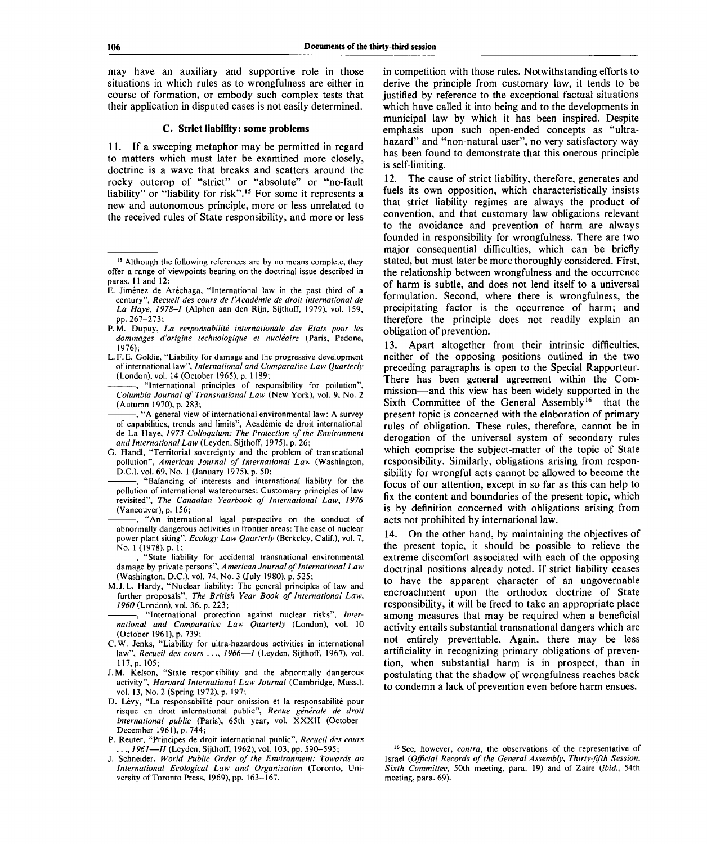may have an auxiliary and supportive role in those situations in which rules as to wrongfulness are either in course of formation, or embody such complex tests that their application in disputed cases is not easily determined.

### **C. Strict liability: some problems**

11. If a sweeping metaphor may be permitted in regard to matters which must later be examined more closely, doctrine is a wave that breaks and scatters around the rocky outcrop of "strict" or "absolute" or "no-fault liability" or "liability for risk".<sup>15</sup> For some it represents a new and autonomous principle, more or less unrelated to the received rules of State responsibility, and more or less

G. Handl, "Territorial sovereignty and the problem of transnational pollution", *American Journal of International Law* (Washington, D.C.), vol. 69, No. 1 (January 1975), p. 50;

"Balancing of interests and international liability for the pollution of international watercourses: Customary principles of law revisited", *The Canadian Yearbook of International Law, 1976* (Vancouver), p. 156;

-, "An international legal perspective on the conduct of abnormally dangerous activities in frontier areas: The case of nuclear power plant siting", *Ecology Law Quarterly* (Berkeley, Calif.), vol. 7, No. 1 (1978), p. 1;

"State liability for accidental transnational environmental damage by private persons", *American Journal of International Law* (Washington, D.C.), vol. 74, No. 3 (July 1980), p. 525;

M.J. L. Hardy, "Nuclear liability: The general principles of law and further proposals", *The British Year Book of International Law, 1960* (London), vol. 36, p. 223;

"International protection against nuclear risks", *International and Comparative Law Quarterly* (London), vol. 10 (October 1961), p. 739;

- C.W. Jenks, "Liability for ultra-hazardous activities in international law", Recueil des cours ..., 1966-*I* (Leyden, Sijthoff, 1967), vol. 117, p. 105;
- J.M. Kelson, "State responsibility and the abnormally dangerous activity", *Harvard International Law Journal* (Cambridge, Mass.), vol. 13, No. 2 (Spring 1972), p. 197;
- D. Lévy, "La responsabilité pour omission et la responsabilité pour risque en droit international public", *Revue generate de droit international public* (Paris), 65th year, vol. XXXII (October-December 1961), p. 744;
- P. Reuter, "Principes de droit international public", *Recueil des cours ..*., *1961—11* (Leyden, Sijthoff, 1962), vol. 103, pp. 590-595;
- J. Schneider, *World Public Order of the Environment: Towards an International Ecological Law and Organization* (Toronto, University of Toronto Press, 1969), pp. 163-167.

in competition with those rules. Notwithstanding efforts to derive the principle from customary law, it tends to be justified by reference to the exceptional factual situations which have called it into being and to the developments in municipal law by which it has been inspired. Despite emphasis upon such open-ended concepts as "ultrahazard" and "non-natural user", no very satisfactory way has been found to demonstrate that this onerous principle is self-limiting.

12. The cause of strict liability, therefore, generates and fuels its own opposition, which characteristically insists that strict liability regimes are always the product of convention, and that customary law obligations relevant to the avoidance and prevention of harm are always founded in responsibility for wrongfulness. There are two major consequential difficulties, which can be briefly stated, but must later be more thoroughly considered. First, the relationship between wrongfulness and the occurrence of harm is subtle, and does not lend itself to a universal formulation. Second, where there is wrongfulness, the precipitating factor is the occurrence of harm; and therefore the principle does not readily explain an obligation of prevention.

13. Apart altogether from their intrinsic difficulties, neither of the opposing positions outlined in the two preceding paragraphs is open to the Special Rapporteur. There has been general agreement within the Commission—and this view has been widely supported in the Sixth Committee of the General Assembly<sup>16</sup>—that the present topic is concerned with the elaboration of primary rules of obligation. These rules, therefore, cannot be in derogation of the universal system of secondary rules which comprise the subject-matter of the topic of State responsibility. Similarly, obligations arising from responsibility for wrongful acts cannot be allowed to become the focus of our attention, except in so far as this can help to fix the content and boundaries of the present topic, which is by definition concerned with obligations arising from acts not prohibited by international law.

14. On the other hand, by maintaining the objectives of the present topic, it should be possible to relieve the extreme discomfort associated with each of the opposing doctrinal positions already noted. If strict liability ceases to have the apparent character of an ungovernable encroachment upon the orthodox doctrine of State responsibility, it will be freed to take an appropriate place among measures that may be required when a beneficial activity entails substantial transnational dangers which are not entirely preventable. Again, there may be less artificiality in recognizing primary obligations of prevention, when substantial harm is in prospect, than in postulating that the shadow of wrongfulness reaches back to condemn a lack of prevention even before harm ensues.

<sup>&</sup>lt;sup>15</sup> Although the following references are by no means complete, they offer a range of viewpoints bearing on the doctrinal issue described in paras. 11 and 12:

E. Jimenez de Arechaga, "International law in the past third of a century", *Recueil des cours de I'Academie de droit international de La Haye, 1978-1* (Alphen aan den Rijn, Sijthoff, 1979), vol. 159, pp.267-273;

P.M. Dupuy, La responsabilité internationale des Etats pour les *dommages d'origine technologique et nucleaire* (Paris, Pedone, 1976);

L.F. E. Goldie, "Liability for damage and the progressive development of international law", *International and Comparative Law Quarterly* (London), vol. 14 (October 1965), p. 1189;

<sup>, &</sup>quot;International principles of responsibility for pollution", *Columbia Journal of Transnational Law* (New York), vol. 9, No. 2 (Autumn 1970), p. 283;

<sup>-, &</sup>quot;A general view of international environmental law: A survey of capabilities, trends and limits", Academie de droit international de La Haye, *1973 Colloquium: The Protection of the Environment and International Law* (Leyden, Sijthoff, 1975), p. 26;

<sup>&</sup>lt;sup>16</sup> See, however, *contra*, the observations of the representative of Israel *{Official Records of the General Assembly, Thirty-fifth Session, Sixth Committee,* 50th meeting, para. 19) and of Zaire *(ibid.,* 54th meeting, para. 69).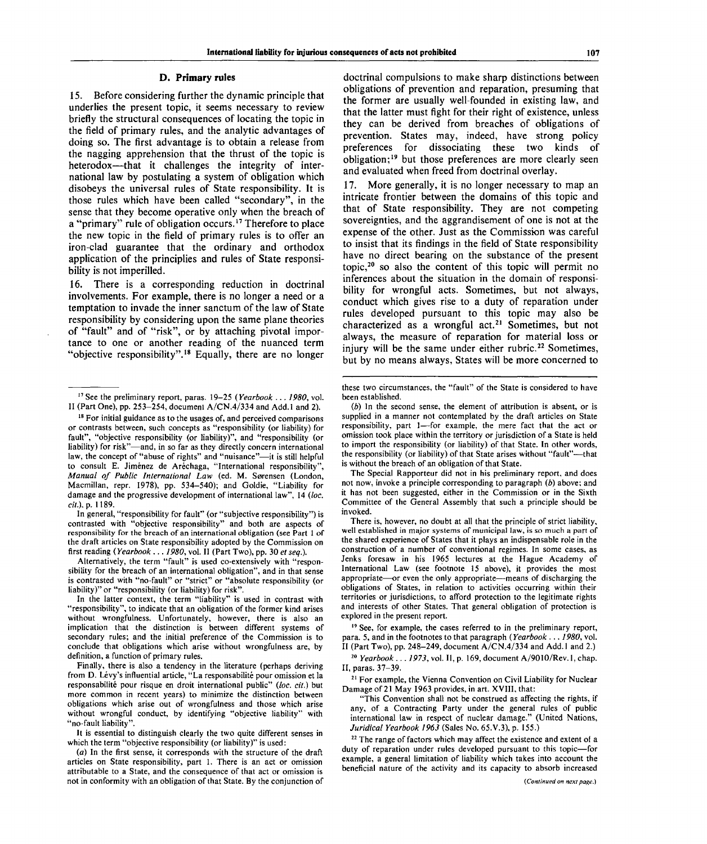### **D. Primary rules**

15. Before considering further the dynamic principle that underlies the present topic, it seems necessary to review briefly the structural consequences of locating the topic in the field of primary rules, and the analytic advantages of doing so. The first advantage is to obtain a release from the nagging apprehension that the thrust of the topic is heterodox—that it challenges the integrity of international law by postulating a system of obligation which disobeys the universal rules of State responsibility. It is those rules which have been called "secondary", in the sense that they become operative only when the breach of a "primary" rule of obligation occurs.<sup>17</sup> Therefore to place the new topic in the field of primary rules is to offer an iron-clad guarantee that the ordinary and orthodox application of the principlies and rules of State responsibility is not imperilled.

16. There is a corresponding reduction in doctrinal involvements. For example, there is no longer a need or a temptation to invade the inner sanctum of the law of State responsibility by considering upon the same plane theories of "fault" and of "risk", or by attaching pivotal importance to one or another reading of the nuanced term "objective responsibility".<sup>18</sup> Equally, there are no longer

In general, "responsibility for fault" (or "subjective responsibility") is contrasted with "objective responsibility" and both are aspects of responsibility for the breach of an international obligation (see Part 1 of the draft articles on State responsibility adopted by the Commission on first reading *(Yearbook ... 1980,* vol. II (Part Two), pp. 30 *et seq.).*

Alternatively, the term "fault" is used co-extensively with "responsibility for the breach of an international obligation", and in that sense is contrasted with "no-fault" or "strict" or "absolute responsibility (or liability)" or "responsibility (or liability) for risk".

It is essential to distinguish clearly the two quite different senses in which the term "objective responsibility (or liability)" is used:

doctrinal compulsions to make sharp distinctions between obligations of prevention and reparation, presuming that the former are usually well-founded in existing law, and that the latter must fight for their right of existence, unless they can be derived from breaches of obligations of prevention. States may, indeed, have strong policy preferences for dissociating these two kinds of obligation;<sup>19</sup> but those preferences are more clearly seen and evaluated when freed from doctrinal overlay.

17. More generally, it is no longer necessary to map an intricate frontier between the domains of this topic and that of State responsibility. They are not competing sovereignties, and the aggrandisement of one is not at the expense of the other. Just as the Commission was careful to insist that its findings in the field of State responsibility have no direct bearing on the substance of the present topic,<sup>20</sup> so also the content of this topic will permit no inferences about the situation in the domain of responsibility for wrongful acts. Sometimes, but not always, conduct which gives rise to a duty of reparation under rules developed pursuant to this topic may also be characterized as a wrongful act.<sup>21</sup> Sometimes, but not always, the measure of reparation for material loss or injury will be the same under either rubric.<sup>22</sup> Sometimes. but by no means always, States will be more concerned to

There is, however, no doubt at all that the principle of strict liability, well established in major systems of municipal law, is so much a part of the shared experience of States that it plays an indispensable role in the construction of a number of conventional regimes. In some cases, as Jenks foresaw in his 1965 lectures at the Hague Academy of International Law (see footnote 15 above), it provides the most appropriate—or even the only appropriate—means of discharging the obligations of States, in relation to activities occurring within their territories or jurisdictions, to afford protection to the legitimate rights and interests of other States. That general obligation of protection is explored in the present report.

<sup>19</sup> See, for example, the cases referred to in the preliminary report, para. 5, and in the footnotes to that paragraph *(Yearbook ..*. *1980,* vol. II (Part Two), pp. 248-249, document A/CN.4/334 and Add.l and 2.)

20  *Yearbook ... 1973,* vol. II, p. 169, document A/9010/Rev.l, chap. II, paras. 37-39.

<sup>21</sup> For example, the Vienna Convention on Civil Liability for Nuclear Damage of 21 May 1963 provides, in art. XVIII, that:

"This Convention shall not be construed as affecting the rights, if any, of a Contracting Party under the general rules of public international law in respect of nuclear damage." (United Nations, *Juridical Yearbook 1963* (Sales No. 65.V.3), p. 155.)

<sup>22</sup> The range of factors which may affect the existence and extent of a duty of reparation under rules developed pursuant to this topic—for example, a general limitation of liability which takes into account the beneficial nature of the activity and its capacity to absorb increased

<sup>17</sup> See the preliminary report, paras. 19-25 *(Yearbook* .. . *1980,* vol. II (Part One), pp. 253–254, document  $A/CN.4/334$  and Add.1 and 2).

<sup>&</sup>lt;sup>18</sup> For initial guidance as to the usages of, and perceived comparisons or contrasts between, such concepts as "responsibility (or liability) for fault", "objective responsibility (or liability)", and "responsibility (or liability) for risk"—and, in so far as they directly concern international law, the concept of "abuse of rights" and "nuisance"—it is still helpful to consult E. Jimenez de Arechaga, "International responsibility", *Manual of Public International Law* (ed. M. Sorensen (London, Macmillan, repr. 1978), pp. 534-540); and Goldie, "Liability for damage and the progressive development of international law", 14 *(loc. cit.*), p. 1189.

In the latter context, the term "liability" is used in contrast with "responsibility", to indicate that an obligation of the former kind arises without wrongfulness. Unfortunately, however, there is also an implication that the distinction is between different systems of secondary rules; and the initial preference of the Commission is to conclude that obligations which arise without wrongfulness are, by definition, a function of primary rules.

Finally, there is also a tendency in the literature (perhaps deriving from D. Levy's influential article, "La responsabilité pour omission et la responsabilite pour risque en droit international public" *(loc. cit.)* but more common in recent years) to minimize the distinction between obligations which arise out of wrongfulness and those which arise without wrongful conduct, by identifying "objective liability" with "no-fault liability".

*<sup>(</sup>a)* In the first sense, it corresponds with the structure of the draft articles on State responsibility, part 1. There is an act or omission attributable to a State, and the consequence of that act or omission is not in conformity with an obligation of that State. By the conjunction of

these two circumstances, the "fault" of the State is considered to have been established.

*<sup>(</sup>b)* In the second sense, the element of attribution is absent, or is supplied in a manner not contemplated by the draft articles on State responsibility, part 1—for example, the mere fact that the act or omission took place within the territory or jurisdiction of a State is held to import the responsibility (or liability) of that State. In other words, the responsibility (or liability) of that State arises without "fault"—that is without the breach of an obligation of that State.

The Special Rapporteur did not in his preliminary report, and does not now, invoke a principle corresponding to paragraph *(b)* above; and it has not been suggested, either in the Commission or in the Sixth Committee of the General Assembly that such a principle should be invoked.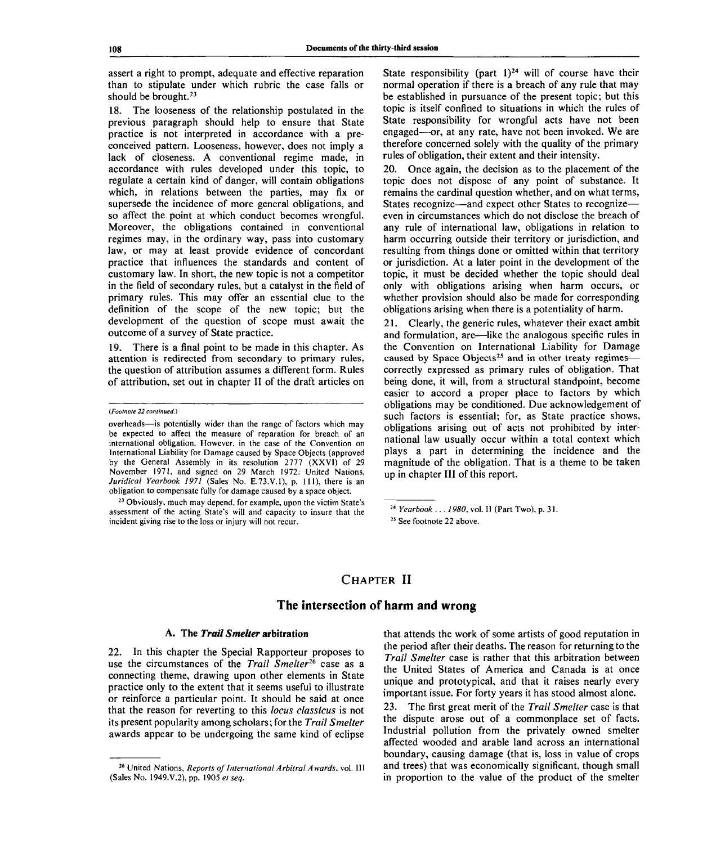assert a right to prompt, adequate and effective reparation than to stipulate under which rubric the case falls or should be brought.<sup>23</sup>

18. The looseness of the relationship postulated in the previous paragraph should help to ensure that State practice is not interpreted in accordance with a preconceived pattern. Looseness, however, does not imply a lack of closeness. A conventional regime made, in accordance with rules developed under this topic, to regulate a certain kind of danger, will contain obligations which, in relations between the parties, may fix or supersede the incidence of more general obligations, and so affect the point at which conduct becomes wrongful. Moreover, the obligations contained in conventional regimes may, in the ordinary way, pass into customary law, or may at least provide evidence of concordant practice that influences the standards and content of customary law. In short, the new topic is not a competitor in the field of secondary rules, but a catalyst in the field of primary rules. This may offer an essential clue to the definition of the scope of the new topic; but the development of the question of scope must await the outcome of a survey of State practice.

19. There is a final point to be made in this chapter. As attention is redirected from secondary to primary rules, the question of attribution assumes a different form. Rules of attribution, set out in chapter II of the draft articles on

<sup>23</sup> Obviously, much may depend, for example, upon the victim State's assessment of the acting State's will and capacity to insure that the incident giving rise to the loss or injury will not recur.

State responsibility (part  $1$ )<sup>24</sup> will of course have their normal operation if there is a breach of any rule that may be established in pursuance of the present topic; but this topic is itself confined to situations in which the rules of State responsibility for wrongful acts have not been engaged—or, at any rate, have not been invoked. We are therefore concerned solely with the quality of the primary rules of obligation, their extent and their intensity.

20. Once again, the decision as to the placement of the topic does not dispose of any point of substance. It remains the cardinal question whether, and on what terms, States recognize—and expect other States to recognize even in circumstances which do not disclose the breach of any rule of international law, obligations in relation to harm occurring outside their territory or jurisdiction, and resulting from things done or omitted within that territory or jurisdiction. At a later point in the development of the topic, it must be decided whether the topic should deal only with obligations arising when harm occurs, or whether provision should also be made for corresponding obligations arising when there is a potentiality of harm.

21. Clearly, the generic rules, whatever their exact ambit and formulation, are—like the analogous specific rules in the Convention on International Liability for Damage caused by Space Objects<sup>25</sup> and in other treaty regimes correctly expressed as primary rules of obligation. That being done, it will, from a structural standpoint, become easier to accord a proper place to factors by which obligations may be conditioned. Due acknowledgement of such factors is essential; for, as State practice shows, obligations arising out of acts not prohibited by international law usually occur within a total context which plays a part in determining the incidence and the magnitude of the obligation. That is a theme to be taken up in chapter **III** of this report.

# **CHAPTER II**

## **The intersection of harm and wrong**

### **A. The** *Trail Smelter* **arbitration**

22. In this chapter the Special Rapporteur proposes to use the circumstances of the *Trail Smelter<sup>16</sup>* case as a connecting theme, drawing upon other elements in State practice only to the extent that it seems useful to illustrate or reinforce a particular point. It should be said at once that the reason for reverting to this *locus classicus* is not its present popularity among scholars; for the *Trail Smelter* awards appear to be undergoing the same kind of eclipse

that attends the work of some artists of good reputation in the period after their deaths. The reason for returning to the *Trail Smelter* case is rather that this arbitration between the United States of America and Canada is at once unique and prototypical, and that it raises nearly every important issue. For forty years it has stood almost alone. 23. The first great merit of the *Trail Smelter* case is that the dispute arose out of a commonplace set of facts. Industrial pollution from the privately owned smelter affected wooded and arable land across an international boundary, causing damage (that is, loss in value of crops and trees) that was economically significant, though small in proportion to the value of the product of the smelter

*<sup>(</sup>Footnote 22 continued.)*

overheads—is potentially wider than the range of factors which may be expected to affect the measure of reparation for breach of an international obligation. However, in the case of the Convention on International Liability for Damage caused by Space Objects (approved by the General Assembly in its resolution 2777 (XXVI) of 29 November 1971, and signed on 29 March 1972: United Nations, *Juridical Yearbook 1971* (Sales No. E.73.V.1), p. Ill), there is an obligation to compensate fully for damage caused by a space object.

<sup>24</sup>  *Yearbook . . . 1980,* vol. II (Part Two), p. 31.

<sup>25</sup> See footnote 22 above.

<sup>26</sup> United Nations, *Reports of International Arbitral Awards,* vol. Ill (Sales No. 1949.V.2), pp. 1905 *el seq.*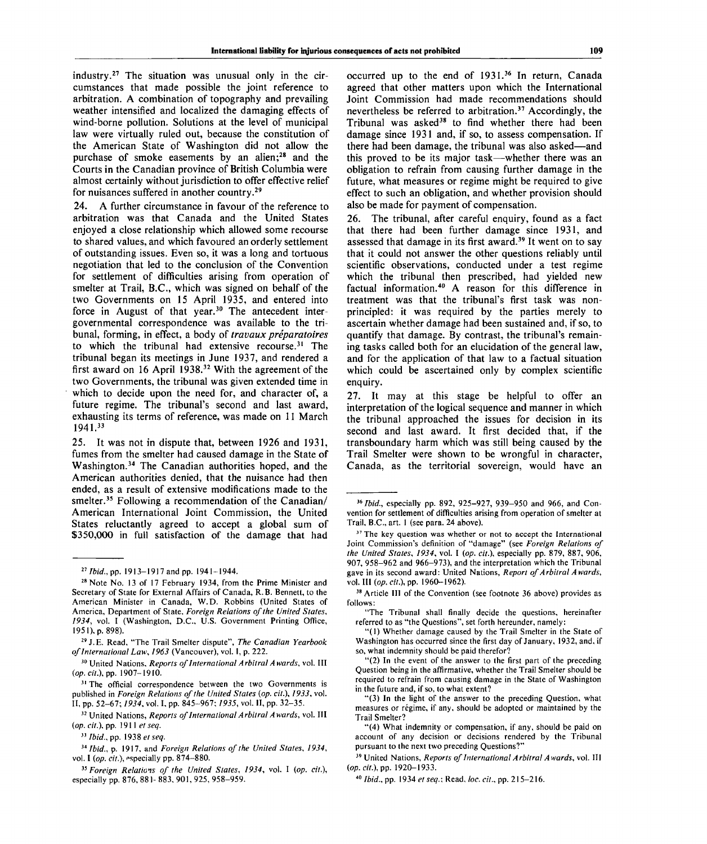industry.<sup>27</sup> The situation was unusual only in the circumstances that made possible the joint reference to arbitration. A combination of topography and prevailing weather intensified and localized the damaging effects of wind-borne pollution. Solutions at the level of municipal law were virtually ruled out, because the constitution of the American State of Washington did not allow the purchase of smoke easements by an alien;<sup>28</sup> and the Courts in the Canadian province of British Columbia were almost certainly without jurisdiction to offer effective relief for nuisances suffered in another country.<sup>29</sup>

24. A further circumstance in favour of the reference to arbitration was that Canada and the United States enjoyed a close relationship which allowed some recourse to shared values, and which favoured an orderly settlement of outstanding issues. Even so, it was a long and tortuous negotiation that led to the conclusion of the Convention for settlement of difficulties arising from operation of smelter at Trail, B.C., which was signed on behalf of the two Governments on 15 April 1935, and entered into force in August of that year.<sup>30</sup> The antecedent intergovernmental correspondence was available to the tribunal, forming, in effect, a body of *travaux preparatories* to which the tribunal had extensive recourse.<sup>31</sup> The tribunal began its meetings in June 1937, and rendered a first award on 16 April 1938.<sup>32</sup> With the agreement of the two Governments, the tribunal was given extended time in which to decide upon the need for, and character of, a future regime. The tribunal's second and last award, exhausting its terms of reference, was made on 11 March 1941.<sup>33</sup>

25. It was not in dispute that, between 1926 and 1931, fumes from the smelter had caused damage in the State of Washington.<sup>34</sup> The Canadian authorities hoped, and the American authorities denied, that the nuisance had then ended, as a result of extensive modifications made to the smelter.<sup>35</sup> Following a recommendation of the Canadian/ American International Joint Commission, the United States reluctantly agreed to accept a global sum of \$350,000 in full satisfaction of the damage that had

- 2 9 J.E. Read, "The Trail Smelter dispute", *The Canadian Yearbook of International Law, 1963* (Vancouver), vol. I, p. 222.
- 30 United Nations, *Reports of International Arbitral Awards,* vol. Ill *{op. cit.),* pp. 1907-1910.
- <sup>31</sup> The official correspondence between the two Governments is published in *Foreign Relations of the United States (op. cit.), 1933,* vol. II, pp. 52-67; *1934,* vol. I, pp. 845-967; *1935,* vol. II, pp. 32-35.

32 United Nations, *Reports of International Arbitral Awards,* vol. Ill *(op. cit.),* pp. 1911 e/ *seq.*

occurred up to the end of 1931.<sup>36</sup> In return, Canada agreed that other matters upon which the International Joint Commission had made recommendations should nevertheless be referred to arbitration.<sup>37</sup> Accordingly, the Tribunal was asked<sup>38</sup> to find whether there had been damage since 1931 and, if so, to assess compensation. If there had been damage, the tribunal was also asked—and this proved to be its major task—whether there was an obligation to refrain from causing further damage in the future, what measures or regime might be required to give effect to such an obligation, and whether provision should also be made for payment of compensation.

26. The tribunal, after careful enquiry, found as a fact that there had been further damage since 1931, and assessed that damage in its first award.<sup>39</sup> It went on to say that it could not answer the other questions reliably until scientific observations, conducted under a test regime which the tribunal then prescribed, had yielded new factual information.<sup>40</sup> A reason for this difference in treatment was that the tribunal's first task was nonprincipled: it was required by the parties merely to ascertain whether damage had been sustained and, if so, to quantify that damage. By contrast, the tribunal's remaining tasks called both for an elucidation of the general law, and for the application of that law to a factual situation which could be ascertained only by complex scientific enquiry.

27. It may at this stage be helpful to offer an interpretation of the logical sequence and manner in which the tribunal approached the issues for decision in its second and last award. It first decided that, if the transboundary harm which was still being caused by the Trail Smelter were shown to be wrongful in character, Canada, as the territorial sovereign, would have an

<sup>38</sup> Article III of the Convention (see footnote 36 above) provides as follows:

"The Tribunal shall finally decide the questions, hereinafter referred to as "the Questions", set forth hereunder, namely:

"(1) Whether damage caused by the Trail Smelter in the State of Washington has occurred since the first day of January, 1932, and, if so, what indemnity should be paid therefor?

"(2) In the event of the answer to the first part of the preceding Question being in the affirmative, whether the Trail Smelter should be required to refrain from causing damage in the State of Washington in the future and, if so, to what extent?

"(3) In the light of the answer to the preceding Question, what measures or régime, if any, should be adopted or maintained by the Trail Smelter?

"(4) What indemnity or compensation, if any, should be paid on account of any decision or decisions rendered by the Tribunal pursuant to the next two preceding Questions?"

39 United Nations, *Reports of International Arbitral Awards,* vol. Ill *(op. cit.),* pp. 1920-1933.

40  *Ibid.,* pp. 1934 *et seq.;* Read, *loc. cit.,* pp. 215-216.

<sup>27</sup>  *Ibid.,* pp. 1913-1917 and pp. 1941-1944.

<sup>&</sup>lt;sup>28</sup> Note No. 13 of 17 February 1934, from the Prime Minister and Secretary of State for External Affairs of Canada, R.B. Bennett, to the American Minister in Canada, W.D. Robbins (United States of America, Department of State, *Foreign Relations of the United States, 1934,* vol. I (Washington, D.C., U.S. Government Printing Office, 1951), p. 898).

*<sup>&</sup>quot; Ibid.,* pp. 1938 *etseq.*

<sup>34</sup>  *Ibid.,* p. 1917, and *Foreign Relations of the United States, 1934,* vol. I (op. cit.), especially pp. 874-880.

*<sup>35</sup> Foreign Relations of the United States, 1934,* vol. I *(op. cit.),* especially pp. 876, 881- 883, 901, 925, 958-959.

<sup>&</sup>lt;sup>36</sup> *Ibid.*, especially pp. 892, 925-927, 939-950 and 966, and Convention for settlement of difficulties arising from operation of smelter at Trail, B.C., art. 1 (see para. 24 above).

<sup>&</sup>lt;sup>37</sup> The key question was whether or not to accept the International Joint Commission's definition of "damage" (see *Foreign Relations of the United States, 1934,* vol. I *(op. cit.),* especially pp. 879, 887, 906, 907, 958-962 and 966-973), and the interpretation which the Tribunal gave in its second award: United Nations, *Report of Arbitral Awards,* vol. **Ill** *(op. cit.),* pp. 1960-1962).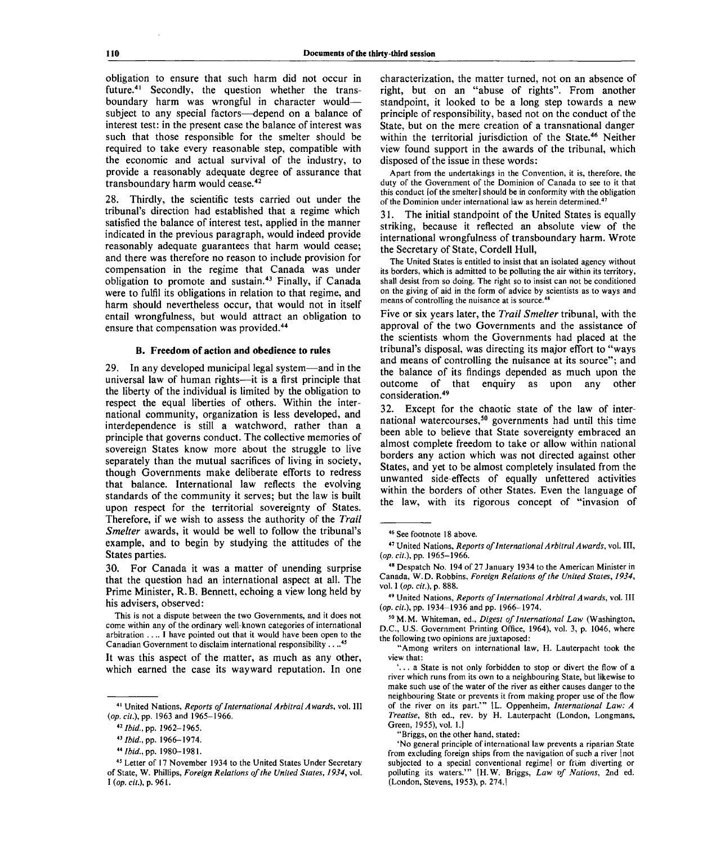obligation to ensure that such harm did not occur in future.<sup>41</sup> Secondly, the question whether the transboundary harm was wrongful in character would subject to any special factors—depend on a balance of interest test: in the present case the balance of interest was such that those responsible for the smelter should be required to take every reasonable step, compatible with the economic and actual survival of the industry, to provide a reasonably adequate degree of assurance that transboundary harm would cease.<sup>42</sup>

28. Thirdly, the scientific tests carried out under the tribunal's direction had established that a regime which satisfied the balance of interest test, applied in the manner indicated in the previous paragraph, would indeed provide reasonably adequate guarantees that harm would cease; and there was therefore no reason to include provision for compensation in the regime that Canada was under obligation to promote and sustain.<sup>43</sup> Finally, if Canada were to fulfil its obligations in relation to that regime, and harm should nevertheless occur, that would not in itself entail wrongfulness, but would attract an obligation to ensure that compensation was provided.<sup>44</sup>

#### **B. Freedom of action and obedience to rules**

29. In any developed municipal legal system—and in the universal law of human rights—it is a first principle that the liberty of the individual is limited by the obligation to respect the equal liberties of others. Within the international community, organization is less developed, and interdependence is still a watchword, rather than a principle that governs conduct. The collective memories of sovereign States know more about the struggle to live separately than the mutual sacrifices of living in society, though Governments make deliberate efforts to redress that balance. International law reflects the evolving standards of the community it serves; but the law is built upon respect for the territorial sovereignty of States. Therefore, if we wish to assess the authority of the *Trail Smelter* awards, it would be well to follow the tribunal's example, and to begin by studying the attitudes of the States parties.

30. For Canada it was a matter of unending surprise that the question had an international aspect at all. The Prime Minister, R. B. Bennett, echoing a view long held by his advisers, observed:

This is not a dispute between the two Governments, and it does not come within any of the ordinary well-known categories of international arbitration  $\dots$  I have pointed out that it would have been open to the Canadian Government to disclaim international responsibility . . ..<sup>45</sup>

It was this aspect of the matter, as much as any other, which earned the case its wayward reputation. In one

42  *Ibid.,* pp. 1962-1965.

characterization, the matter turned, not on an absence of right, but on an "abuse of rights". From another standpoint, it looked to be a long step towards a new principle of responsibility, based not on the conduct of the State, but on the mere creation of a transnational danger within the territorial jurisdiction of the State.<sup>46</sup> Neither view found support in the awards of the tribunal, which disposed of the issue in these words:

Apart from the undertakings in the Convention, it is, therefore, the duty of the Government of the Dominion of Canada to see to it that this conduct [of the smelter] should be in conformity with the obligation of the Dominion under international law as herein determined.<sup>47</sup>

31. The initial standpoint of the United States is equally striking, because it reflected an absolute view of the international wrongfulness of transboundary harm. Wrote the Secretary of State, Cordell Hull,

The United States is entitled to insist that an isolated agency without its borders, which is admitted to be polluting the air within its territory, shall desist from so doing. The right so to insist can not be conditioned on the giving of aid in the form of advice by scientists as to ways and means of controlling the nuisance at is source.<sup>41</sup>

Five or six years later, the *Trail Smelter* tribunal, with the approval of the two Governments and the assistance of the scientists whom the Governments had placed at the tribunal's disposal, was directing its major effort to "ways and means of controlling the nuisance at its source"; and the balance of its findings depended as much upon the outcome of that enquiry as upon any other consideration.<sup>49</sup>

32. Except for the chaotic state of the law of international watercourses,<sup>50</sup> governments had until this time been able to believe that State sovereignty embraced an almost complete freedom to take or allow within national borders any action which was not directed against other States, and yet to be almost completely insulated from the unwanted side-effects of equally unfettered activities within the borders of other States. Even the language of the law, with its rigorous concept of "invasion of

<sup>41</sup> United Nations, *Reports of International Arbitral Awards,* vol. Ill *(op. cit.\* pp. 1963 and 1965-1966.

<sup>43</sup>  *Ibid.,* pp. 1966-1974.

*<sup>&</sup>quot;Ibid.,* pp. 1980-1981.

<sup>45</sup> Letter of 17 November 1934 to the United States Under Secretary of State, W. Phillips, *Foreign Relations of the United States, 1934,* vol. *I (op. cit),* p. 961.

<sup>46</sup> See footnote 18 above.

<sup>47</sup> United Nations, *Reports of International Arbitral Awards,* vol. Ill, *(op. cit.),* pp. 1965-1966.

<sup>&</sup>lt;sup>48</sup> Despatch No. 194 of 27 January 1934 to the American Minister in Canada, W.D. Robbins, *Foreign Relations of the United States, 1934,* vol. I *(op. cit.),* p. 888.

<sup>49</sup> United Nations, *Reports of International Arbitral Awards,* vol. Ill *(op. cit.),* pp. 1934-1936 and pp. 1966-1974.

<sup>5 0</sup>M.M. Whiteman, ed., *Digest of International Law* (Washington, D.C., U.S. Government Printing Office, 1964), vol. 3, p. 1046, where the following two opinions are juxtaposed:

<sup>&</sup>quot;Among writers on international law, H. Lauterpacht took the view that:

<sup>&#</sup>x27;.. . a State is not only forbidden to stop or divert the flow of a river which runs from its own to a neighbouring State, but likewise to make such use of the water of the river as either causes danger to the neighbouring State or prevents it from making proper use of the flow of the river on its part.'" [L. Oppenheim, *International Law: A Treatise,* 8th ed., rev. by H. Lauterpacht (London, Longmans, Green, 1955), vol. 1.]

<sup>&</sup>quot;Briggs, on the other hand, stated:

<sup>&#</sup>x27;No general principle of international law prevents a riparian State from excluding foreign ships from the navigation of such a river [not subjected to a special conventional regime] or from diverting or polluting its waters.'" [H.W. Briggs, *Law of Nations,* 2nd ed. (London, Stevens, 1953), p. 274.]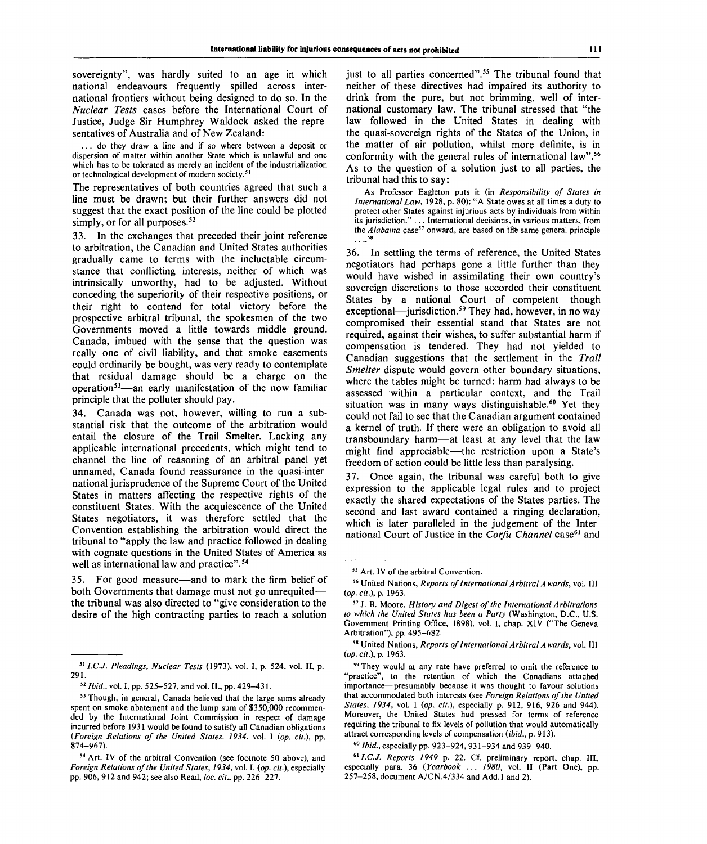sovereignty", was hardly suited to an age in which national endeavours frequently spilled across international frontiers without being designed to do so. In the *Nuclear Tests* cases before the International Court of Justice, Judge Sir Humphrey Waldock asked the representatives of Australia and of New Zealand:

... do they draw a line and if so where between a deposit or dispersion of matter within another State which is unlawful and one which has to be tolerated as merely an incident of the industrialization or technological development of modern society.<sup>5</sup>

The representatives of both countries agreed that such a line must be drawn; but their further answers did not suggest that the exact position of the line could be plotted simply, or for all purposes. $52$ 

33. In the exchanges that preceded their joint reference to arbitration, the Canadian and United States authorities gradually came to terms with the ineluctable circumstance that conflicting interests, neither of which was intrinsically unworthy, had to be adjusted. Without conceding the superiority of their respective positions, or their right to contend for total victory before the prospective arbitral tribunal, the spokesmen of the two Governments moved a little towards middle ground. Canada, imbued with the sense that the question was really one of civil liability, and that smoke easements could ordinarily be bought, was very ready to contemplate that residual damage should be a charge on the operation<sup>53</sup>—an early manifestation of the now familiar principle that the polluter should pay.

34. Canada was not, however, willing to run a substantial risk that the outcome of the arbitration would entail the closure of the Trail Smelter. Lacking any applicable international precedents, which might tend to channel the line of reasoning of an arbitral panel yet unnamed, Canada found reassurance in the quasi-international jurisprudence of the Supreme Court of the United States in matters affecting the respective rights of the constituent States. With the acquiescence of the United States negotiators, it was therefore settled that the Convention establishing the arbitration would direct the tribunal to "apply the law and practice followed in dealing with cognate questions in the United States of America as well as international law and practice".<sup>54</sup>

35. For good measure—and to mark the firm belief of both Governments that damage must not go unrequited the tribunal was also directed to "give consideration to the desire of the high contracting parties to reach a solution

just to all parties concerned".<sup>55</sup> The tribunal found that neither of these directives had impaired its authority to drink from the pure, but not brimming, well of international customary law. The tribunal stressed that "the law followed in the United States in dealing with the quasi-sovereign rights of the States of the Union, in the matter of air pollution, whilst more definite, is in conformity with the general rules of international law".<sup>56</sup> As to the question of a solution just to all parties, the tribunal had this to say:

As Professor Eagleton puts it (in *Responsibility of States in International Law,* 1928, p. 80): "A State owes at all times a duty to protect other States against injurious acts by individuals from within its jurisdiction." . . . International decisions, in various matters, from<br>the *Alabama* case<sup>57</sup> onward, are based on the same general principle **58**

36. In settling the terms of reference, the United States negotiators had perhaps gone a little further than they would have wished in assimilating their own country's sovereign discretions to those accorded their constituent States by a national Court of competent—though exceptional—jurisdiction.<sup>59</sup> They had, however, in no way compromised their essential stand that States are not required, against their wishes, to suffer substantial harm if compensation is tendered. They had not yielded to Canadian suggestions that the settlement in the *Trail Smelter* dispute would govern other boundary situations, where the tables might be turned: harm had always to be assessed within a particular context, and the Trail  $\frac{1}{2}$  situation was in many ways distinguishable.<sup>60</sup> Yet they could not fail to see that the Canadian argument contained a kernel of truth. If there were an obligation to avoid all transboundary harm—at least at any level that the law might find appreciable—the restriction upon a State's freedom of action could be little less than paralysing.

37. Once again, the tribunal was careful both to give expression to the applicable legal rules and to project exactly the shared expectations of the States parties. The second and last award contained a ringing declaration, which is later paralleled in the judgement of the International Court of Justice in the Corfu Channel case<sup>61</sup> and

*<sup>5</sup>lI.C.J. Pleadings, Nuclear Tests* (1973), vol. I, p. 524, vol. II, p. 291.

<sup>52</sup>  *Ibid.,* vol. I, pp. 525-527, and vol. II., pp. 429-431.

<sup>&</sup>lt;sup>53</sup> Though, in general, Canada believed that the large sums already spent on smoke abatement and the lump sum of \$350,000 recommended by the International Joint Commission in respect of damage incurred before 1931 would be found to satisfy all Canadian obligations *(Foreign Relations of the United States. 1934,* vol. I *(op. cit.),* pp. 874-967).

<sup>54</sup> Art. IV of the arbitral Convention (see footnote 50 above), and *Foreign Relations of the United States, 1934,* vol. I. *(op. cit.),* especially pp. 906, 912 and 942; see also Read, *be. cit.,* pp. 226-227.

<sup>&</sup>lt;sup>55</sup> Art. IV of the arbitral Convention.

<sup>56</sup> United Nations, *Reports of International Arbitral Awards,* vol. Ill *(op. cit.), p .* 1963.

<sup>57</sup> J. B. Moore, *History and Digest of the International Arbitrations to which the United States has been a Party* (Washington, D.C., U.S. Government Printing Office, 1898), vol. I, chap. XIV ("The Geneva Arbitration"), pp. 495-682.

<sup>58</sup> United Nations, *Reports of International Arbitral Awards,* vol. Ill *(op. cit.), p .* 1963.

<sup>&</sup>lt;sup>59</sup> They would at any rate have preferred to omit the reference to "practice", to the retention of which the Canadians attached importance—presumably because it was thought to favour solutions that accommodated both interests (see *Foreign Relations of the United States, 1934,* vol. I *(op. cit.),* especially p. 912, 916, 926 and 944). Moreover, the United States had pressed for terms of reference requiring the tribunal to fix levels of pollution that would automatically attract corresponding levels of compensation (ibid., p. 913).

<sup>60</sup>  *Ibid.,* especially pp. 923-924, 931-934 and 939-940.

<sup>61</sup>*1.C.J. Reports 1949* p. 22. Cf. preliminary report, chap. Ill, especially para. 36 *(Yearbook ... 1980,* vol. II (Part One), pp. 257-258, document A/CN.4/334 and Add.l and 2).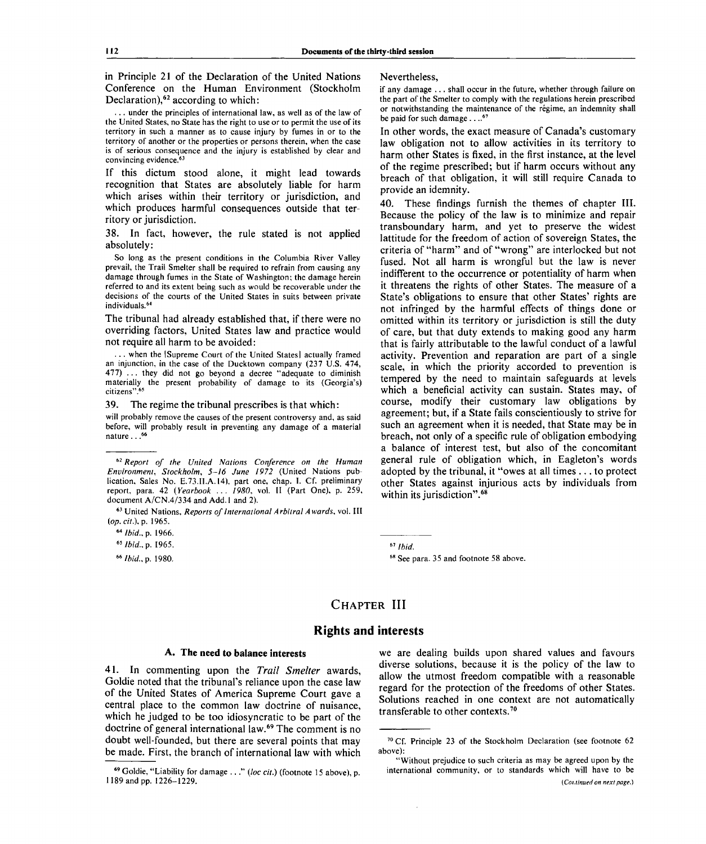in Principle 21 of the Declaration of the United Nations Conference on the Human Environment (Stockholm Declaration),<sup>62</sup> according to which:

.. under the principles of international law, as well as of the law of the United States, no State has the right to use or to permit the use of its territory in such a manner as to cause injury by fumes in or to the territory of another or the properties or persons therein, when the case is of serious consequence and the injury is established by clear and convincing evidence.<sup>63</sup>

If this dictum stood alone, it might lead towards recognition that States are absolutely liable for harm which arises within their territory or jurisdiction, and which produces harmful consequences outside that territory or jurisdiction.

38. In fact, however, the rule stated is not applied absolutely:

So long as the present conditions in the Columbia River Valley prevail, the Trail Smelter shall be required to refrain from causing any damage through fumes in the State of Washington; the damage herein referred to and its extent being such as would be recoverable under the decisions of the courts of the United States in suits between private individuals.<sup>64</sup>

The tribunal had already established that, if there were no overriding factors, United States law and practice would not require all harm to be avoided:

.. when the [Supreme Court of the United States] actually framed an injunction, in the case of the Ducktown company (237 U.S. 474, 477) .. . they did not go beyond a decree "adequate to diminish materially the present probability of damage to its (Georgia's) citizens".<sup>65</sup>

39. The regime the tribunal prescribes is that which:

will probably remove the causes of the present controversy and, as said before, will probably result in preventing any damage of a material nature.. . 66

63 United Nations, *Reports of International Arbitral Awards,* vol. Ill *(op. cit.),p.* 1965.

### Nevertheless,

if any damage .. . shall occur in the future, whether through failure on the part of the Smelter to comply with the regulations herein prescribed or notwithstanding the maintenance of the regime, an indemnity shall be paid for such damage . . ..<sup>67</sup>

In other words, the exact measure of Canada's customary law obligation not to allow activities in its territory to harm other States is fixed, in the first instance, at the level of the regime prescribed; but if harm occurs without any breach of that obligation, it will still require Canada to provide an idemnity.

40. These findings furnish the themes of chapter III. Because the policy of the law is to minimize and repair transboundary harm, and yet to preserve the widest lattitude for the freedom of action of sovereign States, the criteria of "harm" and of "wrong" are interlocked but not fused. Not all harm is wrongful but the law is never indifferent to the occurrence or potentiality of harm when it threatens the rights of other States. The measure of a State's obligations to ensure that other States' rights are not infringed by the harmful effects of things done or omitted within its territory or jurisdiction is still the duty of care, but that duty extends to making good any harm that is fairly attributable to the lawful conduct of a lawful activity. Prevention and reparation are part of a single scale, in which the priority accorded to prevention is tempered by the need to maintain safeguards at levels which a beneficial activity can sustain. States may, of course, modify their customary law obligations by agreement; but, if a State fails conscientiously to strive for such an agreement when it is needed, that State may be in breach, not only of a specific rule of obligation embodying a balance of interest test, but also of the concomitant general rule of obligation which, in Eagleton's words adopted by the tribunal, it "owes at all times .. . to protect other States against injurious acts by individuals from within its jurisdiction".<sup>68</sup>

*Ibid.*

# **CHAPTER III**

### **Rights and interests**

#### **A. The need** *to* **balance interests**

41. In commenting upon the *Trail Smelter* awards, Goldie noted that the tribunal's reliance upon the case law of the United States of America Supreme Court gave a central place to the common law doctrine of nuisance, which he judged to be too idiosyncratic to be part of the doctrine of general international law.<sup>69</sup> The comment is no doubt well-founded, but there are several points that may be made. First, the branch of international law with which

we are dealing builds upon shared values and favours diverse solutions, because it is the policy of the law to allow the utmost freedom compatible with a reasonable regard for the protection of the freedoms of other States. Solutions reached in one context are not automatically transferable to other contexts.<sup>70</sup>

<sup>62</sup>  *Report of the United Nations Conference on the Human Environment, Stockholm, 5-16 June 1972* (United Nations publication, Sales No. E.73.II.A.14), part one, chap. I. Cf. preliminary report, para. 42 *(Yearbook* .. . *1980,* vol. II (Part One), p. 259, document A/CN.4/334 and Add.l and 2).

*<sup>&</sup>quot;Ibid., p.* 1966.

*<sup>65</sup> Ibid., p.* 1965.

<sup>66</sup>  *Ibid.,* p. 1980.

<sup>&</sup>lt;sup>68</sup> See para. 35 and footnote 58 above.

<sup>69</sup> Goldie, "Liability for damage ... " *(loc cit.)* (footnote 15 above), p. 1189 and pp. 1226-1229.

<sup>70</sup> Cf. Principle 23 of the Stockholm Declaration (see footnote 62 above):

<sup>&</sup>quot;Without prejudice to such criteria as may be agreed upon by the international community, or to standards which will have to be *(Coi.tinued on next page.)*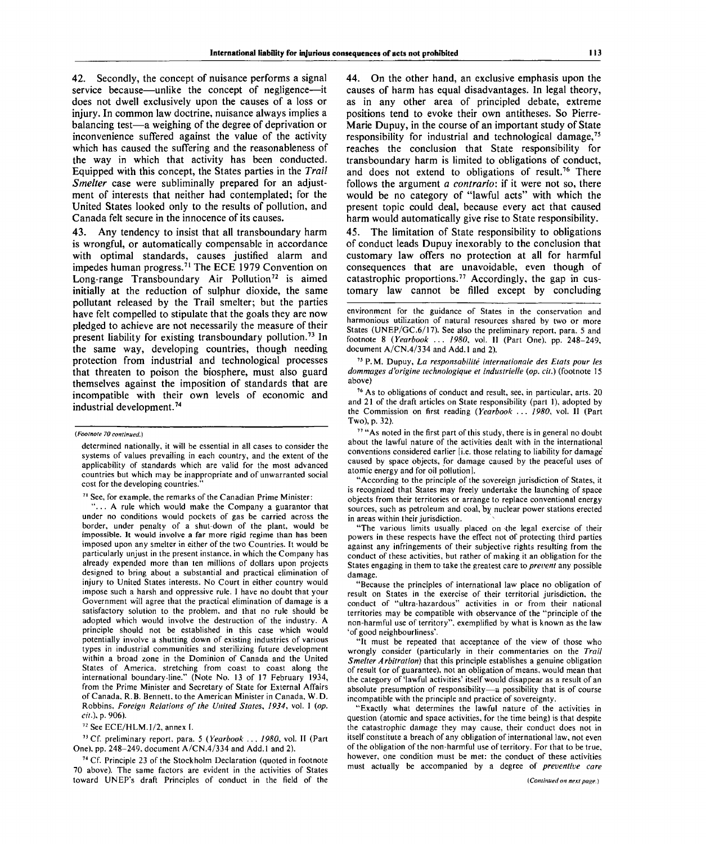42. Secondly, the concept of nuisance performs a signal service because—unlike the concept of negligence—it does not dwell exclusively upon the causes of a loss or injury. In common law doctrine, nuisance always implies a balancing test—a weighing of the degree of deprivation or inconvenience suffered against the value of the activity which has caused the suffering and the reasonableness of the way in which that activity has been conducted. Equipped with this concept, the States parties in the *Trail Smelter* case were subliminally prepared for an adjustment of interests that neither had contemplated; for the United States looked only to the results of pollution, and Canada felt secure in the innocence of its causes.

43. Any tendency to insist that all transboundary harm is wrongful, or automatically compensable in accordance with optimal standards, causes justified alarm and impedes human progress.<sup>71</sup> The ECE 1979 Convention on Long-range Transboundary Air Pollution<sup>72</sup> is aimed initially at the reduction of sulphur dioxide, the same pollutant released by the Trail smelter; but the parties have felt compelled to stipulate that the goals they are now pledged to achieve are not necessarily the measure of their present liability for existing transboundary pollution.<sup>73</sup> In the same way, developing countries, though needing protection from industrial and technological processes that threaten to poison the biosphere, must also guard themselves against the imposition of standards that are incompatible with their own levels of economic and industrial development.<sup>74</sup>

<sup>74</sup> Cf. Principle 23 of the Stockholm Declaration (quoted in footnote 70 above). The same factors are evident in the activities of States toward UNEP's draft Principles of conduct in the field of the

44. On the other hand, an exclusive emphasis upon the causes of harm has equal disadvantages. In legal theory, as in any other area of principled debate, extreme positions tend to evoke their own antitheses. So Pierre-Marie Dupuy, in the course of an important study of State responsibility for industrial and technological damage,<sup>75</sup> reaches the conclusion that State responsibility for transboundary harm is limited to obligations of conduct, and does not extend to obligations of result.<sup>76</sup> There follows the argument *a contrario:* if it were not so, there would be no category of "lawful acts" with which the present topic could deal, because every act that caused harm would automatically give rise to State responsibility.

45. The limitation of State responsibility to obligations of conduct leads Dupuy inexorably to the conclusion that customary law offers no protection at all for harmful consequences that are unavoidable, even though of catastrophic proportions.<sup>77</sup> Accordingly, the gap in customary law cannot be filled except by concluding

75 P. M. Dupuy, *La responsabilite internationale des Etats pour les dommages d'origine technologique et industrielle {op. cit.)* (footnote 15 above)

76 As to obligations of conduct and result, see, in particular, arts. 20 and 21 of the draft articles on State responsibility (part 1), adopted by the Commission on first reading *{Yearbook . . . 1980,* vol. II (Part Two), p. 32).

<sup>77</sup> "As noted in the first part of this study, there is in general no doubt about the lawful nature of the activities dealt with in the international conventions considered earlier [i.e. those relating to liability for damage caused by space objects, for damage caused by the peaceful uses of atomic energy and for oil pollution].

"According to the principle of the sovereign jurisdiction of States, it is recognized that States may freely undertake the launching of space objects from their territories or arrange to replace conventional energy sources, such as petroleum and coal, by nuclear power stations erected in areas within their jurisdiction.

"The various limits usually placed on the legal exercise of their powers in these respects have the effect not Of protecting third parties against any infringements of their subjective rights resulting from the conduct of these activities, but rather of making it an obligation for the States engaging in them to take the greatest care to *prevent* any possible damage.

"Because the principles of international law place no obligation of result on States in the exercise of their territorial jurisdiction, the conduct of "ultra-hazardous" activities in or from their national territories may be compatible with observance of the "principle of the non-harmful use of territory", exemplified by what is known as the law 'of good neighbourliness'.

"It must be repeated that acceptance of the view of those who wrongly consider (particularly in their commentaries on the *Trail Smelter Arbitration*) that this principle establishes a genuine obligation of result (or of guarantee), not an obligation of means, would mean that the category of'lawful activities' itself would disappear as a result of an absolute presumption of responsibility—a possibility that is of course incompatible with the principle and practice of sovereignty.

"Exactly what determines the lawful nature of the activities in question (atomic and space activities, for the time being) is that despite the catastrophic damage they may cause, their conduct does not in itself constitute a breach of any obligation of international law, not even of the obligation of the non-harmful use of territory. For that to be true, however, one condition must be met: the conduct of these activities must actually be accompanied by a degree of *preventive care*

*<sup>(</sup>Footnote 70 continued.)*

determined nationally, it will be essential in all cases to consider the systems of values prevailing in each country, and the extent of the applicability of standards which are valid for the most advanced countries but which may be inappropriate and of unwarranted social cost for the developing countries.

<sup>&</sup>lt;sup>71</sup> See, for example, the remarks of the Canadian Prime Minister:

<sup>&</sup>quot;.. . A rule which would make the Company a guarantor that under no conditions would pockets of gas be carried across the border, under penalty of a shut-down of the plant, would be impossible. It would involve a far more rigid regime than has been imposed upon any smelter in either of the two Countries. It would be particularly unjust in the present instance, in which the Company has already expended more than ten millions of dollars upon projects designed to bring about a substantial and practical elimination of injury to United States interests. No Court in either country would impose such a harsh and oppressive rule. I have no doubt that your Government will agree that the practical elimination of damage is a satisfactory solution to the problem, and that no rule should be adopted which would involve the destruction of the industry. A principle should not be established in this case which would potentially involve a shutting down of existing industries of various types in industrial communities and sterilizing future development within a broad zone in the Dominion of Canada and the United States of America, stretching from coast to coast along the international boundary-line." (Note No. 13 of 17 February 1934, from the Prime Minister and Secretary of State for External Affairs of Canada, R. B. Bennett, to the American Minister in Canada, W. D. Robbins, *Foreign Relations of the United States, 1934,* vol. I *{op. cit.),* p. 906).

<sup>72</sup> See ECE/HLM.1/2, annex I.

<sup>73</sup> Cf. preliminary report, para. 5 *(Yearbook ... 1980,* vol. II (Part One), pp. 248-249, document A/CN.4/334 and Add.l and 2).

environment for the guidance of States in the conservation and harmonious utilization of natural resources shared by two or more States (UNEP/GC.6/17). See also the preliminary report, para. 5 and footnote 8 *{Yearbook ... 1980,* vol. II (Part One), pp. 248-249, document A/CN.4/334 and Add.l and 2).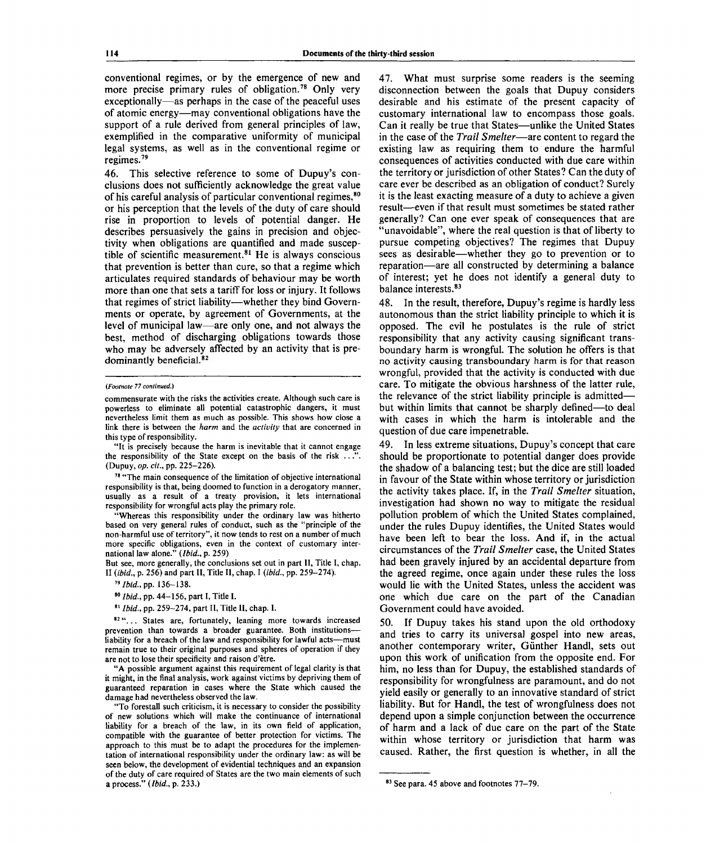conventional regimes, or by the emergence of new and more precise primary rules of obligation.<sup>78</sup> Only very exceptionally—as perhaps in the case of the peaceful uses of atomic energy—may conventional obligations have the support of a rule derived from general principles of law, exemplified in the comparative uniformity of municipal legal systems, as well as in the conventional regime or regimes.<sup>79</sup>

46. This selective reference to some of Dupuy's conclusions does not sufficiently acknowledge the great value of his careful analysis of particular conventional regimes,<sup>80</sup> or his perception that the levels of the duty of care should rise in proportion to levels of potential danger. He describes persuasively the gains in precision and objectivity when obligations are quantified and made susceptible of scientific measurement.<sup>81</sup> He is always conscious that prevention is better than cure, so that a regime which articulates required standards of behaviour may be worth more than one that sets a tariff for loss or injury. It follows that regimes of strict liability—whether they bind Governments or operate, by agreement of Governments, at the level of municipal law—are only one, and not always the best, method of discharging obligations towards those who may be adversely affected by an activity that is predominantly beneficial.<sup>82</sup>

"It is precisely because the harm is inevitable that it cannot engage the responsibility of the State except on the basis of the risk ..." (Dupuy, *op. cit.,* pp. 225-226).

<sup>78</sup> "The main consequence of the limitation of objective international responsibility is that, being doomed to function in a derogatory manner, usually as a result of a treaty provision, it lets international responsibility for wrongful acts play the primary role.

"Whereas this responsibility under the ordinary law was hitherto based on very general rules of conduct, such as the "principle of the non-harmful use of territory", it now tends to rest on a number of much more specific obligations, even in the context of customary international law alone." *(Ibid.,* p. 259)

But see, more generally, the conclusions set out in part II, Title I, chap. II *(ibid.,* p. 256) and part II, Title II, chap. I *(ibid.,* pp. 259-274).

79  *Ibid.,* pp. 136-138.

80  *Ibid.,* pp. 44-156, part I, Title I.

81  *Ibid.,* pp. 259-274, part II, Title II, chap. I.

82 "... States are, fortunately, leaning more towards increased prevention than towards a broader guarantee. Both institutionsliability for a breach of the law and responsibility for lawful acts—must remain true to their original purposes and spheres of operation if they are not to lose their specificity and raison d'etre.

"A possible argument against this requirement of legal clarity is that it might, in the final analysis, work against victims by depriving them of guaranteed reparation in cases where the State which caused the damage had nevertheless observed the law.

"To forestall such criticism, it is necessary to consider the possibility of new solutions which will make the continuance of international liability for a breach of the law, in its own field of application, compatible with the guarantee of better protection for victims. The approach to this must be to adapt the procedures for the implementation of international responsibility under the ordinary law: as will be seen below, the development of evidential techniques and an expansion of the duty of care required of States are the two main elements of such a process." *(Ibid.,* p. 233.)

47. What must surprise some readers is the seeming disconnection between the goals that Dupuy considers desirable and his estimate of the present capacity of customary international law to encompass those goals. Can it really be true that States—unlike the United States in the case of the *Trail Smelter*—are content to regard the existing law as requiring them to endure the harmful consequences of activities conducted with due care within the territory or jurisdiction of other States? Can the duty of care ever be described as an obligation of conduct? Surely it is the least exacting measure of a duty to achieve a given result—even if that result must sometimes be stated rather generally? Can one ever speak of consequences that are 'unavoidable'', where the real question is that of liberty to pursue competing objectives? The regimes that Dupuy sees as desirable—whether they go to prevention or to reparation—are all constructed by determining a balance of interest; yet he does not identify a general duty to balance interests.<sup>83</sup>

48. In the result, therefore, Dupuy's regime is hardly less autonomous than the strict liability principle to which it is opposed. The evil he postulates is the rule of strict responsibility that any activity causing significant transboundary harm is wrongful. The solution he offers is that no activity causing transboundary harm is for that reason wrongful, provided that the activity is conducted with due care. To mitigate the obvious harshness of the latter rule, the relevance of the strict liability principle is admitted but within limits that cannot be sharply defined—to deal with cases in which the harm is intolerable and the question of due care impenetrable.

49. In less extreme situations, Dupuy's concept that care should be proportionate to potential danger does provide the shadow of a balancing test; but the dice are still loaded in favour of the State within whose territory or jurisdiction the activity takes place. If, in the *Trail Smelter* situation, investigation had shown no way to mitigate the residual pollution problem of which the United States complained, under the rules Dupuy identifies, the United States would have been left to bear the loss. And if, in the actual circumstances of the *Trail Smelter* case, the United States had been gravely injured by an accidental departure from the agreed regime, once again under these rules the loss would lie with the United States, unless the accident was one which due care on the part of the Canadian Government could have avoided.

50. If Dupuy takes his stand upon the old orthodoxy and tries to carry its universal gospel into new areas, another contemporary writer, Günther Handl, sets out upon this work of unification from the opposite end. For him, no less than for Dupuy, the established standards of responsibility for wrongfulness are paramount, and do not yield easily or generally to an innovative standard of strict liability. But for Handl, the test of wrongfulness does not depend upon a simple conjunction between the occurrence of harm and a lack of due care on the part of the State within whose territory or jurisdiction that harm was caused. Rather, the first question is whether, in all the

*<sup>(</sup>Footnote 77 continued.)*

commensurate with the risks the activities create. Although such care is powerless to eliminate all potential catastrophic dangers, it must nevertheless limit them as much as possible. This shows how close a link there is between the *harm* and the *activity* that are concerned in this type of responsibility.

See para. 45 above and footnotes 77-79.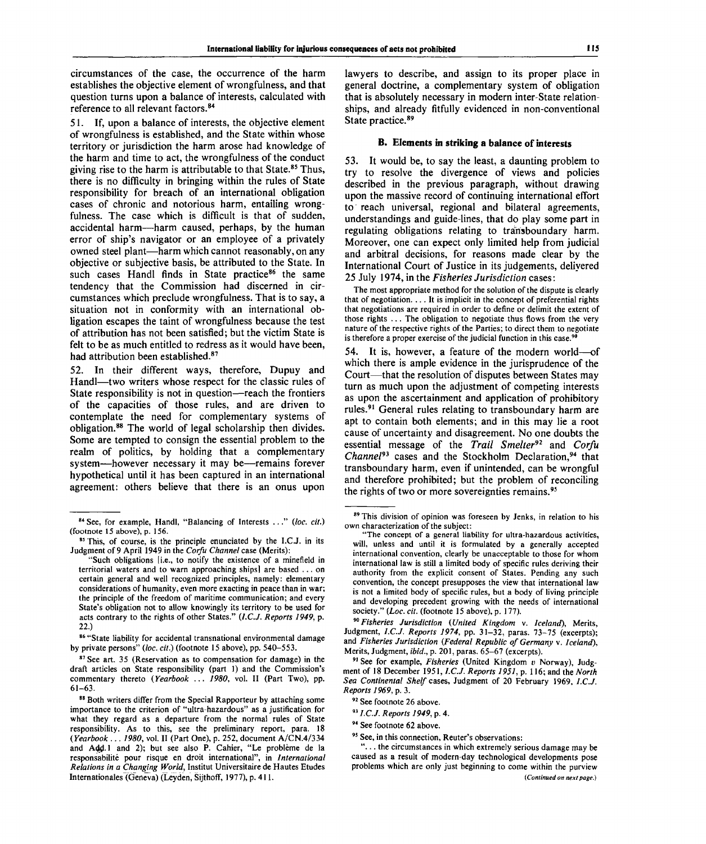circumstances of the case, the occurrence of the harm establishes the objective element of wrongfulness, and that question turns upon a balance of interests, calculated with reference to all relevant factors.<sup>84</sup>

51. If, upon a balance of interests, the objective element of wrongfulness is established, and the State within whose territory or jurisdiction the harm arose had knowledge of the harm and time to act, the wrongfulness of the conduct giving rise to the harm is attributable to that State.<sup>85</sup> Thus, there is no difficulty in bringing within the rules of State responsibility for breach of an international obligation cases of chronic and notorious harm, entailing wrongfulness. The case which is difficult is that of sudden, accidental harm—harm caused, perhaps, by the human error of ship's navigator or an employee of a privately owned steel plant—harm which cannot reasonably, on any objective or subjective basis, be attributed to the State. In such cases Handl finds in State practice<sup>86</sup> the same tendency that the Commission had discerned in circumstances which preclude wrongfulness. That is to say, a situation not in conformity with an international obligation escapes the taint of wrongfulness because the test of attribution has not been satisfied; but the victim State is felt to be as much entitled to redress as it would have been, had attribution been established.<sup>87</sup>

52. In their different ways, therefore, Dupuy and Handl—two writers whose respect for the classic rules of State responsibility is not in question—reach the frontiers of the capacities of those rules, and are driven to contemplate the need for complementary systems of obligation.<sup>88</sup> The world of legal scholarship then divides. Some are tempted to consign the essential problem to the realm of politics, by holding that a complementary system—however necessary it may be—remains forever hypothetical until it has been captured in an international agreement: others believe that there is an onus upon lawyers to describe, and assign to its proper place in general doctrine, a complementary system of obligation that is absolutely necessary in modern inter-State relationships, and already fitfully evidenced in non-conventional State practice.<sup>89</sup>

#### **B. Elements in striking a balance of interests**

53. It would be, to say the least, a daunting problem to try to resolve the divergence of views and policies described in the previous paragraph, without drawing upon the massive record of continuing international effort to reach universal, regional and bilateral agreements, understandings and guide-lines, that do play some part in regulating obligations relating to transboundary harm. Moreover, one can expect only limited help from judicial and arbitral decisions, for reasons made clear by the International Court of Justice in its judgements, delivered 25 July 1974, in the *Fisheries Jurisdiction* cases:

The most appropriate method for the solution of the dispute is clearly that of negotiation.  $\dots$  It is implicit in the concept of preferential rights that negotiations are required in order to define or delimit the extent of those rights .. . The obligation to negotiate thus flows from the very nature of the respective rights of the Parties; to direct them to negotiate is therefore a proper exercise of the judicial function in this case.<sup>9</sup>

54. It is, however, a feature of the modern world—of which there is ample evidence in the jurisprudence of the Court—that the resolution of disputes between States may turn as much upon the adjustment of competing interests as upon the ascertainment and application of prohibitory rules.<sup>91</sup> General rules relating to transboundary harm are apt to contain both elements; and in this may lie a root cause of uncertainty and disagreement. No one doubts the essential message of the *Trail Smelter<sup>92</sup>* and *Corfu* Channel<sup>93</sup> cases and the Stockholm Declaration,<sup>94</sup> that transboundary harm, even if unintended, can be wrongful and therefore prohibited; but the problem of reconciling the rights of two or more sovereignties remains.<sup>95</sup>

90  *Fisheries Jurisdiction (United Kingdom* v. *Iceland),* Merits, Judgment, *I.C.J. Reports 1974,* pp. 31-32, paras. 73-75 (excerpts); and *Fisheries Jurisdiction (Federal Republic of Germany* v. *Iceland),* Merits, Judgment, *ibid.,* p. 201, paras. 65-67 (excerpts).

91 See for example, *Fisheries* (United Kingdom *v* Norway), Judgment of 18 December 1951, *I.C.J. Reports 1951,* p. 116; and the *North Sea Continental Shelf* cases, Judgment of 20 February 1969, *I.C.J. Reports 1969,* p. 3.

<sup>84</sup> See, for example, Handl, "Balancing of Interests ... " *(loc. cit.)* (footnote 15 above), p. 156.

<sup>&</sup>lt;sup>85</sup> This, of course, is the principle enunciated by the I.C.J. in its Judgment of 9 April 1949 in the *Corfu Channel* case (Merits):

<sup>&</sup>quot;Such obligations [i.e., to notify the existence of a minefield in territorial waters and to warn approaching ships] are based .. . on certain general and well recognized principles, namely: elementary considerations of humanity, even more exacting in peace than in war; the principle of the freedom of maritime communication; and every State's obligation not to allow knowingly its territory to be used for acts contrary to the rights of other States." *(I.C.J. Reports 1949,* p. 22.)

<sup>86 &</sup>quot;State liability for accidental transnational environmental damage by private persons" (loc. cit.) (footnote 15 above), pp. 540-553.

<sup>87</sup> See art. 35 (Reservation as to compensation for damage) in the draft articles on State responsibility (part 1) and the Commission's commentary thereto *(Yearbook* .. . *1980,* vol. II (Part Two), pp. 61-63.

<sup>88</sup> Both writers differ from the Special Rapporteur by attaching some importance to the criterion of "ultra-hazardous" as a justification for what they regard as a departure from the normal rules of State responsibility. As to this, see the preliminary report, para. 18 *(Yearbook* .. . *1980,* vol. II (Part One), p. 252, document A/CN.4/33 4 and Add.1 and 2); but see also P. Cahier, "Le problème de la responsabilite pour risque en droit international", in *International Relations in a Changing World,* Institut Universitaire de Hautes Etudes Internationales (Geneva) (Leyden, Sijthoff, 1977), p. 411 .

<sup>89</sup> This division of opinion was foreseen by Jenks, in relation to his own characterization of the subject:

The concept of a general liability for ultra-hazardous activities, will, unless and until it is formulated by a generally accepted international convention, clearly be unacceptable to those for whom international law is still a limited body of specific rules deriving their authority from the explicit consent of States. Pending any such convention, the concept presupposes the view that international law is not a limited body of specific rules, but a body of living principle and developing precedent growing with the needs of international society." (Loc. cit. (footnote 15 above), p. 177).

<sup>&</sup>lt;sup>92</sup> See footnote 26 above.

<sup>93</sup>  *I.C.J. Reports 1949,* p. 4.

<sup>94</sup> See footnote 62 above.

<sup>95</sup> See, in this connection, Reuter's observations:

<sup>&</sup>quot;.. . the circumstances in which extremely serious damage may be caused as a result of modern-day technological developments pose problems which are only just beginning to come within the purview *(Continued on next page.)*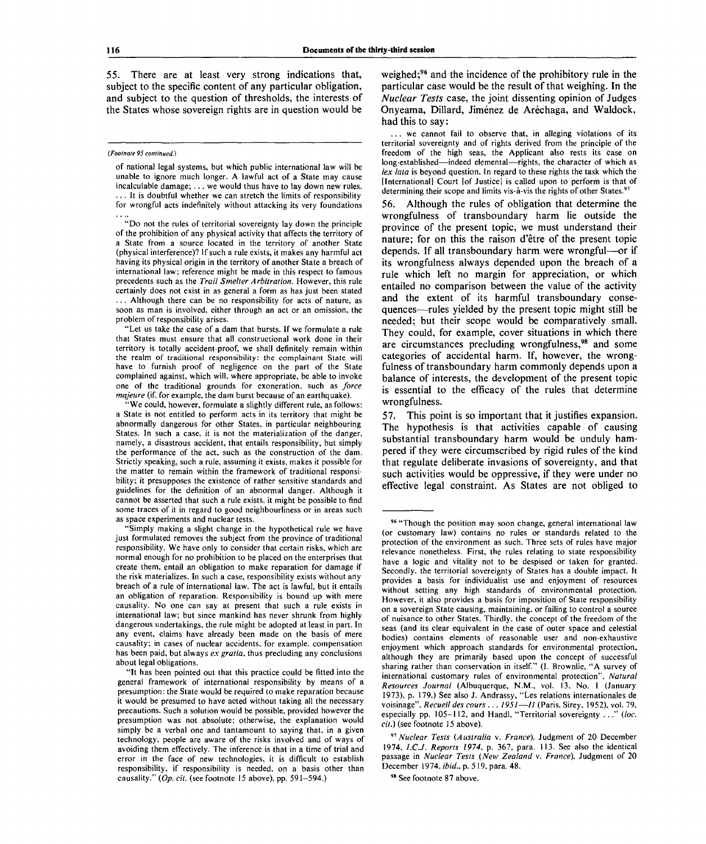55. There are at least very strong indications that, subject to the specific content of any particular obligation, and subject to the question of thresholds, the interests of the States whose sovereign rights are in question would be

#### *(Footnote 95 continued.)*

of national legal systems, but which public international law will be unable to ignore much longer. A lawful act of a State may cause incalculable damage; .. . we would thus have to lay down new rules. ... It is doubtful whether we can stretch the limits of responsibility for wrongful acts indefinitely without attacking its very foundations

"Do not the rules of territorial sovereignty lay down the principle of the prohibition of any physical activity that affects the territory of a State from a source located in the territory of another State (physical interference)? If such a rule exists, it makes any harmful act having its physical origin in the territory of another State a breach of international law; reference might be made in this respect to famous precedents such as the *Trail Smelter Arbitration.* However, this rule certainly does not exist in as general a form as has just been stated .. . Although there can be no responsibility for acts of nature, as soon as man is involved, either through an act or an omission, the problem of responsibility arises.

"Let us take the case of a dam that bursts. If we formulate a rule that States must ensure that all constructional work done in their territory is totally accident-proof, we shall definitely remain within the realm of traditional responsibility: the complainant State will have to furnish proof of negligence on the part of the State complained against, which will, where appropriate, be able to invoke one of the traditional grounds for exoneration, such as *force majeure* (if, for example, the dam burst because of an earthquake).

"We could, however, formulate a slightly different rule, as follows: a State is not entitled to perform acts in its territory that might be abnormally dangerous for other States, in particular neighbouring States. In such a case, it is not the materialization of the danger, namely, a disastrous accident, that entails responsibility, but simply the performance of the act, such as the construction of the dam. Strictly speaking, such a rule, assuming it exists, makes it possible for the matter to remain within the framework of traditional responsibility; it presupposes the existence of rather sensitive standards and guidelines for the definition of an abnormal danger. Although it cannot be asserted that such a rule exists, it might be possible to find some traces of it in regard to good neighbourliness or in areas such as space experiments and nuclear tests.

"Simply making a slight change in the hypothetical rule we have just formulated removes the subject from the province of traditional responsibility. We have only to consider that certain risks, which are normal enough for no prohibition to be placed on the enterprises that create them, entail an obligation to make reparation for damage if the risk materializes. In such a case, responsibility exists without any breach of a rule of international law. The act is lawful, but it entails an obligation of reparation. Responsibility is bound up with mere causality. No one can say at present that such a rule exists in international law; but since mankind has never shrunk from highly dangerous undertakings, the rule might be adopted at least in part. In any event, claims have already been made on the basis of mere causality; in cases of nuclear accidents, for example, compensation has been paid, but always *ex gratia,* thus precluding any conclusions about legal obligations.

weighed;<sup>96</sup> and the incidence of the prohibitory rule in the particular case would be the result of that weighing. In the *Nuclear Tests* case, the joint dissenting opinion of Judges Onyeama, Dillard, Jiménez de Aréchaga, and Waldock, had this to say:

.. we cannot fail to observe that, in alleging violations of its territorial sovereignty and of rights derived from the principle of the freedom of the high seas, the Applicant also rests its case on long-established—indeed elemental—rights, the character of which as *lex lata* is beyond question. In regard to these rights the task which the [International] Court [of Justice] is called upon to perform is that of determining their scope and limits vis-à-vis the rights of other States.<sup>97</sup>

56. Although the rules of obligation that determine the wrongfulness of transboundary harm lie outside the province of the present topic, we must understand their nature; for on this the raison d'être of the present topic depends. If all transboundary harm were wrongful—or if its wrongfulness always depended upon the breach of a rule which left no margin for appreciation, or which entailed no comparison between the value of the activity and the extent of its harmful transboundary consequences—rules yielded by the present topic might still be needed; but their scope would be comparatively small. They could, for example, cover situations in which there are circumstances precluding wrongfulness.<sup>98</sup> and some categories of accidental harm. If, however, the wrongfulness of transboundary harm commonly depends upon a balance of interests, the development of the present topic is essential to the efficacy of the rules that determine wrongfulness.

57. This point is so important that it justifies expansion. The hypothesis is that activities capable of causing substantial transboundary harm would be unduly hampered if they were circumscribed by rigid rules of the kind that regulate deliberate invasions of sovereignty, and that such activities would be oppressive, if they were under no effective legal constraint. As States are not obliged to

98 See footnote 87 above.

<sup>&</sup>quot;It has been pointed out that this practice could be fitted into the general framework of international responsibility by means of a presumption: the State would be required to make reparation because it would be presumed to have acted without taking all the necessary precautions. Such a solution would be possible, provided however the presumption was not absolute; otherwise, the explanation would simply be a verbal one and tantamount to saying that, in a given technology, people are aware of the risks involved and of ways of avoiding them effectively. The inference is that in a time of trial and error in the face of new technologies, it is difficult to establish responsibility, if responsibility is needed, on a basis other than causality." *(Op. cit.* (see footnote 15 above), pp. 591-594.)

<sup>96 &</sup>quot;Though the position may soon change, general international law (or customary law) contains no rules or standards related to the protection of the environment as such. Three sets of rules have major relevance nonetheless. First, the rules relating to state responsibility have a logic and vitality not to be despised or taken for granted. Secondly, the territorial sovereignty of States has a double impact. It provides a basis for individualist use and enjoyment of resources without setting any high standards of environmental protection. However, it also provides a basis for imposition of State responsibility on a sovereign State causing, maintaining, or failing to control a source of nuisance to other States. Thirdly, the concept of the freedom of the seas (and its clear equivalent in the case of outer space and celestial bodies) contains elements of reasonable user and non-exhaustive enjoyment which approach standards for environmental protection, although they are primarily based upon the concept of successful sharing rather than conservation in itself." (I. Brownlie, "A survey of international customary rules of environmental protection". *Natural Resources Journal* (Albuquerque, N.M., vol. 13. No. 1 (January 1973), p. 179.) See also J. Andrassy, "Les relations internationales de voisinage", *Recueil des cours . . . 1951*—// (Paris, Sirey, 1952), vol. 79, especially pp. 105-112, and Handl, "Territorial sovereignty .. ." *(be. cit.)* (see footnote 15 above).

<sup>97</sup>  *Nuclear Tests (Australia* v. *France),* Judgment of 20 December 1974, *I.C.J. Reports 1974.* p. 367, para. 113. See also the identical passage in *Nuclear Tests (New Zealand* v. *France),* Judgment of 20 December 1974, *ibid.,* p. 519, para. 48.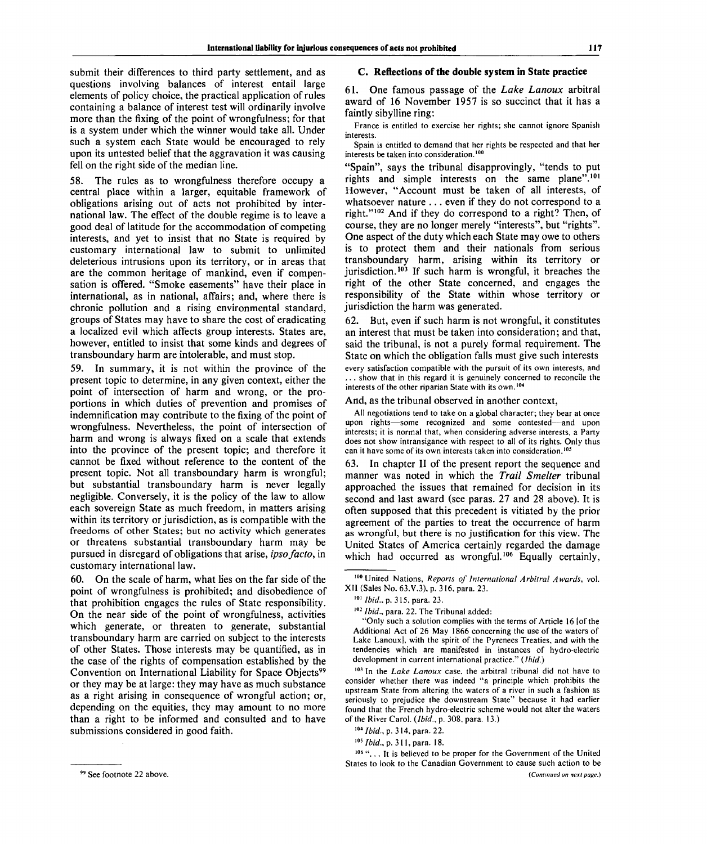submit their differences to third party settlement, and as questions involving balances of interest entail large elements of policy choice, the practical application of rules containing a balance of interest test will ordinarily involve more than the fixing of the point of wrongfulness; for that is a system under which the winner would take all. Under such a system each State would be encouraged to rely upon its untested belief that the aggravation it was causing fell on the right side of the median line.

58. The rules as to wrongfulness therefore occupy a central place within a larger, equitable framework of obligations arising out of acts not prohibited by international law. The effect of the double regime is to leave a good deal of latitude for the accommodation of competing interests, and yet to insist that no State is required by customary international law to submit to unlimited deleterious intrusions upon its territory, or in areas that are the common heritage of mankind, even if compensation is offered. "Smoke easements" have their place in international, as in national, affairs; and, where there is chronic pollution and a rising environmental standard, groups of States may have to share the cost of eradicating a localized evil which affects group interests. States are, however, entitled to insist that some kinds and degrees of transboundary harm are intolerable, and must stop.

59. In summary, it is not within the province of the present topic to determine, in any given context, either the point of intersection of harm and wrong, or the proportions in which duties of prevention and promises of indemnification may contribute to the fixing of the point of wrongfulness. Nevertheless, the point of intersection of harm and wrong is always fixed on a scale that extends into the province of the present topic; and therefore it cannot be fixed without reference to the content of the present topic. Not all transboundary harm is wrongful; but substantial transboundary harm is never legally negligible. Conversely, it is the policy of the law to allow each sovereign State as much freedom, in matters arising within its territory or jurisdiction, as is compatible with the freedoms of other States; but no activity which generates or threatens substantial transboundary harm may be pursued in disregard of obligations that arise, *ipso facto,* in customary international law.

60. On the scale of harm, what lies on the far side of the point of wrongfulness is prohibited; and disobedience of that prohibition engages the rules of State responsibility. On the near side of the point of wrongfulness, activities which generate, or threaten to generate, substantial transboundary harm are carried on subject to the interests of other States. Those interests may be quantified, as in the case of the rights of compensation established by the Convention on International Liability for Space Objects<sup>99</sup> or they may be at large: they may have as much substance as a right arising in consequence of wrongful action; or, depending on the equities, they may amount to no more than a right to be informed and consulted and to have submissions considered in good faith.

#### **C. Reflections of the double system in State practice**

61. One famous passage of the *Lake Lanoux* arbitral award of 16 November 1957 is so succinct that it has a faintly sibylline ring:

France is entitled to exercise her rights; she cannot ignore Spanish **interests** 

Spain is entitled to demand that her rights be respected and that her interests be taken into consideration.<sup>100</sup>

"Spain", says the tribunal disapprovingly, "tends to put rights and simple interests on the same plane".<sup>101</sup> However, "Account must be taken of all interests, of whatsoever nature .. . even if they do not correspond to a right."<sup>102</sup> And if they do correspond to a right? Then, of course, they are no longer merely "interests", but "rights". One aspect of the duty which each State may owe to others is to protect them and their nationals from serious transboundary harm, arising within its territory or jurisdiction.<sup>103</sup> If such harm is wrongful, it breaches the right of the other State concerned, and engages the responsibility of the State within whose territory or jurisdiction the harm was generated.

62. But, even if such harm is not wrongful, it constitutes an interest that must be taken into consideration; and that, said the tribunal, is not a purely formal requirement. The State on which the obligation falls must give such interests every satisfaction compatible with the pursuit of its own interests, and ... show that in this regard it is genuinely concerned to reconcile the interests of the other riparian State with its own.<sup>104</sup>

#### And, as the tribunal observed in another context,

All negotiations tend to take on a global character; they bear at once upon rights—some recognized and some contested—and upon interests; it is normal that, when considering adverse interests, a Party does not show intransigance with respect to all of its rights. Only thus can it have some of its own interests taken into consideration.<sup>10</sup>

63. In chapter II of the present report the sequence and manner was noted in which the *Trail Smelter* tribunal approached the issues that remained for decision in its second and last award (see paras. 27 and 28 above). It is often supposed that this precedent is vitiated by the prior agreement of the parties to treat the occurrence of harm as wrongful, but there is no justification for this view. The United States of America certainly regarded the damage which had occurred as wrongful.<sup>106</sup> Equally certainly,

103 In the *Lake Lanoux* case, the arbitral tribunal did not have to consider whether there was indeed "a principle which prohibits the upstream State from altering the waters of a river in such a fashion as seriously to prejudice the downstream State" because it had earlier found that the French hydro-electric scheme would not alter the waters of the River Carol. *(Ibid.,* p. 308, para. 13.)

*]05Ibid.,* p. 311, para. 18.

106 "... It is believed to be proper for the Government of the United States to look to the Canadian Government to cause such action to be *{Continued on next page.)*

<sup>100</sup> United Nations, *Reports of International Arbitral Awards,* vol. XII (Sales No. 63.V.3), p. 316, para. 23.

*<sup>101</sup> Ibid.,* p. 3 15, para. 23.

<sup>&</sup>lt;sup>102</sup> Ibid., para. 22. The Tribunal added:

<sup>&</sup>quot;Only such a solution complies with the terms of Article 16 [of the Additional Act of 26 May 1866 concerning the use of the waters of Lake Lanoux], with the spirit of the Pyrenees Treaties, and with the tendencies which are manifested in instances of hydro-electric development in current international practice." *(Ibid.)*

*<sup>104</sup> Ibid.,* p. 314, para. 22.

<sup>&</sup>lt;sup>99</sup> See footnote 22 above.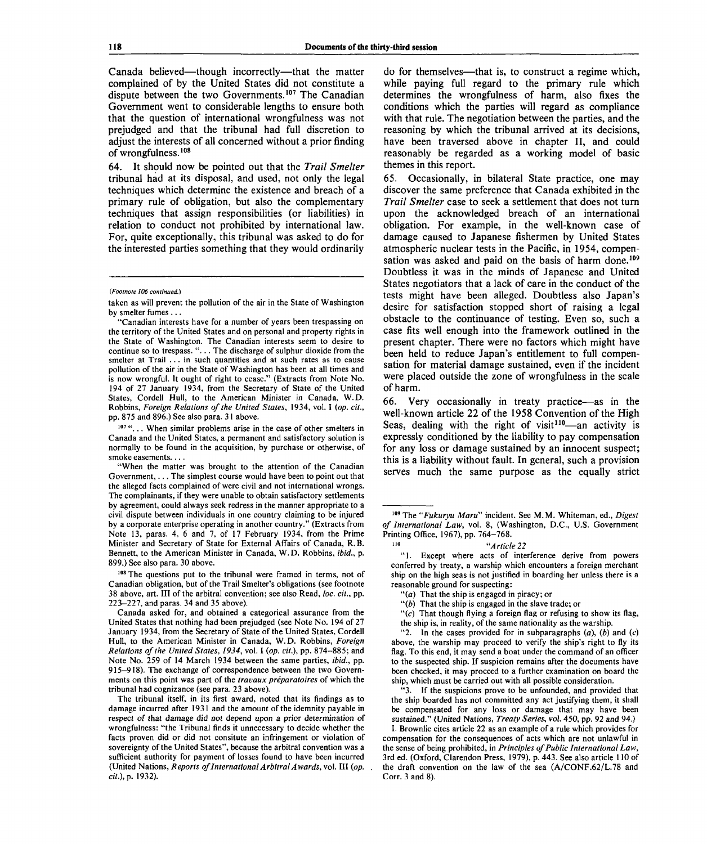Canada believed—though incorrectly—that the matter complained of by the United States did not constitute a dispute between the two Governments.<sup>107</sup> The Canadian Government went to considerable lengths to ensure both that the question of international wrongfulness was not prejudged and that the tribunal had full discretion to adjust the interests of all concerned without a prior finding of wrongfulness.<sup>108</sup>

64. It should now be pointed out that the *Trail Smelter* tribunal had at its disposal, and used, not only the legal techniques which determine the existence and breach of a primary rule of obligation, but also the complementary techniques that assign responsibilities (or liabilities) in relation to conduct not prohibited by international law. For, quite exceptionally, this tribunal was asked to do for the interested parties something that they would ordinarily

"Canadian interests have for a number of years been trespassing on the territory of the United States and on personal and property rights in the State of Washington. The Canadian interests seem to desire to continue so to trespass. ". . . The discharge of sulphur dioxide from the smelter at Trail .. . in such quantities and at such rates as to cause pollution of the air in the State of Washington has been at all times and is now wrongful. It ought of right to cease." (Extracts from Note No. 194 of 27 January 1934, from the Secretary of State of the United States, Cordell Hull, to the American Minister in Canada, W.D. Robbins, *Foreign Relations of the United States,* 1934, vol. I *(op. cit.,* pp. 875 and 896.) See also para. 31 above.

<sup>107</sup> "... When similar problems arise in the case of other smelters in Canada and the United States, a permanent and satisfactory solution is normally to be found in the acquisition, by purchase or otherwise, of smoke easements....

"When the matter was brought to the attention of the Canadian Government,... The simplest course would have been to point out that the alleged facts complained of were civil and not international wrongs. The complainants, if they were unable to obtain satisfactory settlements by agreement, could always seek redress in the manner appropriate to a civil dispute between individuals in one country claiming to be injured by a corporate enterprise operating in another country." (Extracts from Note 13, paras. 4, 6 and 7, of 17 February 1934, from the Prime Minister and Secretary of State for External Affairs of Canada, R.B. Bennett, to the American Minister in Canada, W.D. Robbins, *ibid.,* p. 899.) See also para. 30 above.

108 The questions put to the tribunal were framed in terms, not of Canadian obligation, but of the Trail Smelter's obligations (see footnote 38 above, art. Ill of the arbitral convention; see also Read, *loc. cit.,* pp. 223-227, and paras. 34 and 35 above).

Canada asked for, and obtained a categorical assurance from the United States that nothing had been prejudged (see Note No. 194 of 27 January 1934, from the Secretary of State of the United States, Cordell Hull, to the American Minister in Canada, W.D. Robbins, *Foreign Relations of the United States, 1934,* vol. I *(op. cit.),* pp. 874-885; and Note No. 259 of 14 March 1934 between the same parties, *ibid.,* pp. 915-918). The exchange of correspondence between the two Governments on this point was part of the *travaux preparatoires* of which the tribunal had cognizance (see para. 23 above).

The tribunal itself, in its first award, noted that its findings as to damage incurred after 1931 and the amount of the idemnity payable in respect of that damage did not depend upon a prior determination of wrongfulness: "the Tribunal finds it unnecessary to decide whether the facts proven did or did not consitute an infringement or violation of sovereignty of the United States", because the arbitral convention was a sufficient authority for payment of losses found to have been incurred (United Nations, *Reports of International Arbitral Awards,* vol. Ill *(op. cit.), p.* 1932).

do for themselves—that is, to construct a regime which, while paying full regard to the primary rule which determines the wrongfulness of harm, also fixes the conditions which the parties will regard as compliance with that rule. The negotiation between the parties, and the reasoning by which the tribunal arrived at its decisions, have been traversed above in chapter II, and could reasonably be regarded as a working model of basic themes in this report.

65. Occasionally, in bilateral State practice, one may discover the same preference that Canada exhibited in the *Trail Smelter* case to seek a settlement that does not turn upon the acknowledged breach of an international obligation. For example, in the well-known case of damage caused to Japanese fishermen by United States atmospheric nuclear tests in the Pacific, in 1954, compensation was asked and paid on the basis of harm done.<sup>109</sup> Doubtless it was in the minds of Japanese and United States negotiators that a lack of care in the conduct of the tests might have been alleged. Doubtless also Japan's desire for satisfaction stopped short of raising a legal obstacle to the continuance of testing. Even so, such a case fits well enough into the framework outlined in the present chapter. There were no factors which might have been held to reduce Japan's entitlement to full compensation for material damage sustained, even if the incident were placed outside the zone of wrongfulness in the scale of harm.

66. Very occasionally in treaty practice—as in the well-known article 22 of the 1958 Convention of the High Seas, dealing with the right of visit<sup>110</sup>—an activity is expressly conditioned by the liability to pay compensation for any loss or damage sustained by an innocent suspect; this is a liability without fault. In general, such a provision serves much the same purpose as the equally strict

109 The *"Fukuryu Maru"* incident. See M.M. Whiteman, ed., *Digest of International Law,* vol. 8, (Washington, D.C., U.S. Government Printing Office, 1967), pp. 764-768.

#### *"Article 22*

"1. Except where acts of interference derive from powers conferred by treaty, a warship which encounters a foreign merchant ship on the high seas is not justified in boarding her unless there is a reasonable ground for suspecting:

"(a) That the ship is engaged in piracy; or

110

"( $b$ ) That the ship is engaged in the slave trade; or

"(c) That though flying a foreign flag or refusing to show its flag, the ship is, in reality, of the same nationality as the warship.

"2. In the cases provided for in subparagraphs *(a), (b)* and *(c)* above, the warship may proceed to verify the ship's right to fly its flag. To this end, it may send a boat under the command of an officer to the suspected ship. If suspicion remains after the documents have been checked, it may proceed to a further examination on board the ship, which must be carried out with all possible consideration.

" 3. If the suspicions prove to be unfounded, and provided that the ship boarded has not committed any act justifying them, it shall be compensated for any loss or damage that may have been sustained." (United Nations, *Treaty Series,* vol. 450, pp. 92 and 94.)

I. Brownlie cites article 22 as an example of a rule which provides for compensation for the consequences of acts which are not unlawful in the sense of being prohibited, in *Principles of Public International Law,* 3rd ed. (Oxford, Clarendon Press, 1979), p. 443. See also article 110 of the draft convention on the law of the sea (A/CONF.62/L.78 and Corr. 3 and 8).

*<sup>(</sup>Footnote 106 continued.)*

taken as will prevent the pollution of the air in the State of Washington by smelter fumes .. .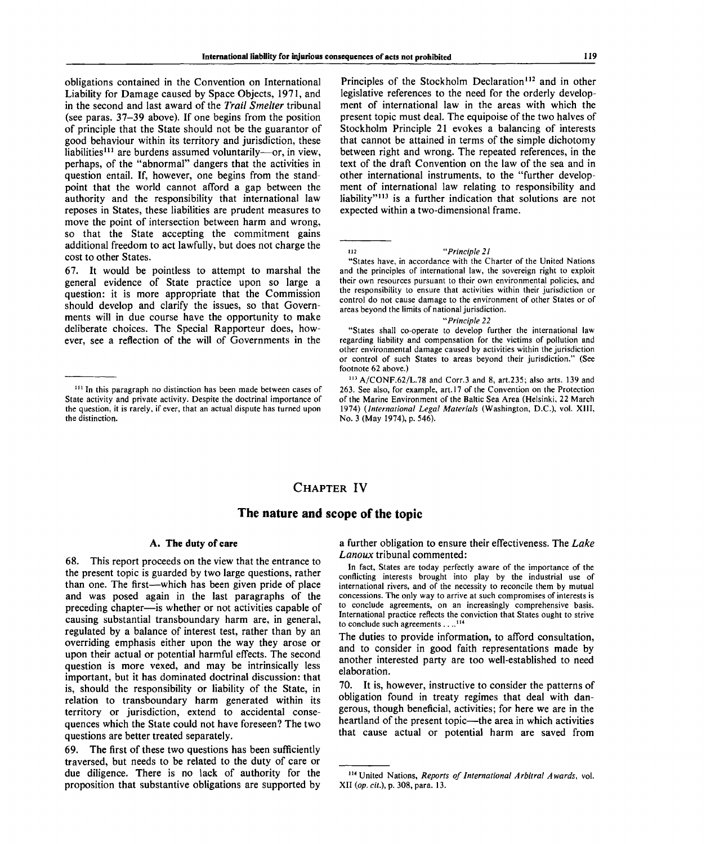obligations contained in the Convention on International Liability for Damage caused by Space Objects, 1971, and in the second and last award of the *Trail Smelter* tribunal (see paras. 37-39 above). If one begins from the position of principle that the State should not be the guarantor of good behaviour within its territory and jurisdiction, these liabilities<sup>111</sup> are burdens assumed voluntarily—or, in view, perhaps, of the "abnormal" dangers that the activities in question entail. If, however, one begins from the standpoint that the world cannot afford a gap between the authority and the responsibility that international law reposes in States, these liabilities are prudent measures to move the point of intersection between harm and wrong, so that the State accepting the commitment gains additional freedom to act lawfully, but does not charge the cost to other States.

67. It would be pointless to attempt to marshal the general evidence of State practice upon so large a question: it is more appropriate that the Commission should develop and clarify the issues, so that Governments will in due course have the opportunity to make deliberate choices. The Special Rapporteur does, however, see a reflection of the will of Governments in the

Principles of the Stockholm Declaration<sup>112</sup> and in other legislative references to the need for the orderly development of international law in the areas with which the present topic must deal. The equipoise of the two halves of Stockholm Principle 21 evokes a balancing of interests that cannot be attained in terms of the simple dichotomy between right and wrong. The repeated references, in the text of the draft Convention on the law of the sea and in other international instruments, to the "further development of international law relating to responsibility and liability"<sup>113</sup> is a further indication that solutions are not expected within a two-dimensional frame.

112 *"Principle 21*

#### *"Principle 22*

## **CHAPTER IV**

### **The nature and scope of the topic**

#### **A. The duty of care**

68. This report proceeds on the view that the entrance to the present topic is guarded by two large questions, rather than one. The first—which has been given pride of place and was posed again in the last paragraphs of the preceding chapter—is whether or not activities capable of causing substantial transboundary harm are, in general, regulated by a balance of interest test, rather than by an overriding emphasis either upon the way they arose or upon their actual or potential harmful effects. The second question is more vexed, and may be intrinsically less important, but it has dominated doctrinal discussion: that is, should the responsibility or liability of the State, in relation to transboundary harm generated within its territory or jurisdiction, extend to accidental consequences which the State could not have foreseen? The two questions are better treated separately.

69. The first of these two questions has been sufficiently traversed, but needs to be related to the duty of care or due diligence. There is no lack of authority for the proposition that substantive obligations are supported by a further obligation to ensure their effectiveness. The *Lake Lanoux* tribunal commented:

In fact, States are today perfectly aware of the importance of the conflicting interests brought into play by the industrial use of international rivers, and of the necessity to reconcile them by mutual concessions. The only way to arrive at such compromises of interests is to conclude agreements, on an increasingly comprehensive basis. International practice reflects the conviction that States ought to strive to conclude such agreements . . ..<sup>114</sup>

The duties to provide information, to afford consultation, and to consider in good faith representations made by another interested party are too well-established to need elaboration.

70. It is, however, instructive to consider the patterns of obligation found in treaty regimes that deal with dangerous, though beneficial, activities; for here we are in the heartland of the present topic—the area in which activities that cause actual or potential harm are saved from

<sup>&</sup>lt;sup>111</sup> In this paragraph no distinction has been made between cases of State activity and private activity. Despite the doctrinal importance of the question, it is rarely, if ever, that an actual dispute has turned upon the distinction.

<sup>&</sup>quot;States have, in accordance with the Charter of the United Nations and the principles of international law, the sovereign right to exploit their own resources pursuant to their own environmental policies, and the responsibility to ensure that activities within their jurisdiction or control do not cause damage to the environment of other States or of areas beyond the limits of national jurisdiction.

<sup>&</sup>quot;States shall co-operate to develop further the international law regarding liability and compensation for the victims of pollution and other environmental damage caused by activities within the jurisdiction or control of such States to areas beyond their jurisdiction." (See footnote 62 above.)

<sup>113</sup> A/CONF.62/L.78 and Corr.3 and 8, art.235; also arts. 139 and 263. See also, for example, art. 17 of the Convention on the Protection of the Marine Environment of the Baltic Sea Area (Helsinki, 22 March 1974) *{International Legal Materials* (Washington, D.C.), vol. XIII, No. 3 (May 1974), p. 546).

<sup>114</sup> United Nations, *Reports of International Arbitral Awards,* vol. XII *{op. cit.),* p. 308, para. 13.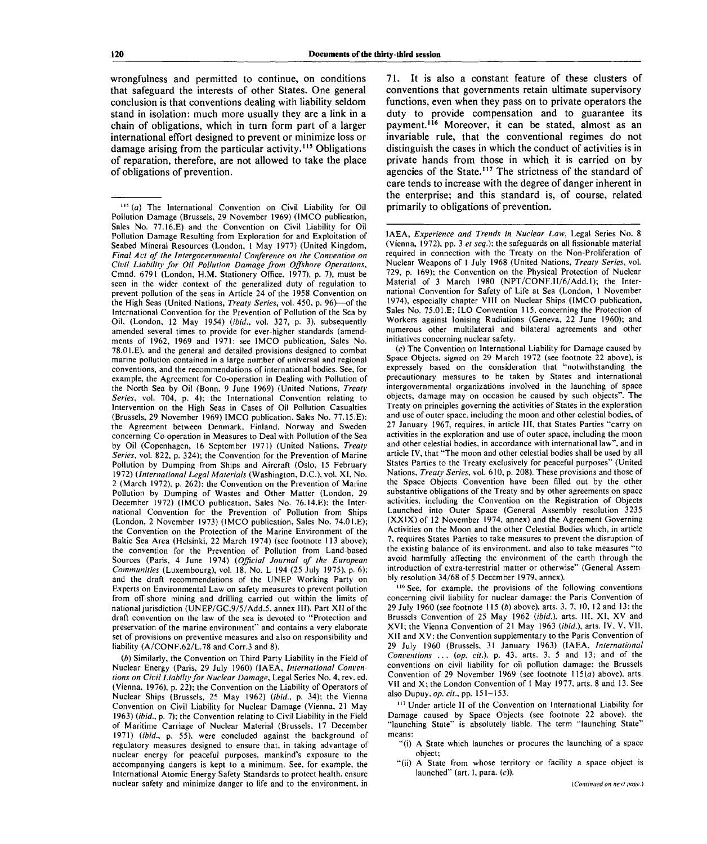wrongfulness and permitted to continue, on conditions that safeguard the interests of other States. One general conclusion is that conventions dealing with liability seldom stand in isolation: much more usually they are a link in a chain of obligations, which in turn form part of a larger international effort designed to prevent or minimize loss or damage arising from the particular activity.<sup>115</sup> Obligations of reparation, therefore, are not allowed to take the place of obligations of prevention.

*(b)* Similarly, the Convention on Third Party Liability in the Field of Nuclear Energy (Paris, 29 July 1960) (IAEA, *International Conventions on Civil Liabilty for Nuclear Damage,* Legal Series No. 4, rev. ed. (Vienna, 1976), p. 22); the Convention on the Liability of Operators of Nuclear Ships (Brussels, 25 May 1962) *(ibid.,* p. 34); the Vienna Convention on Civil Liability for Nuclear Damage (Vienna, 21 May 1963) *(ibid.,* p. 7); the Convention relating to Civil Liability in the Field of Maritime Carriage of Nuclear Material (Brussels, 17 December 1971) *(ibid.,* p. 55), were concluded against the background of regulatory measures designed to ensure that, in taking advantage of nuclear energy for peaceful purposes, mankind's exposure to the accompanying dangers is kept to a minimum. See, for example, the International Atomic Energy Safety Standards to protect health, ensure nuclear safety and minimize danger to life and to the environment, in 71. It is also a constant feature of these clusters of conventions that governments retain ultimate supervisory functions, even when they pass on to private operators the duty to provide compensation and to guarantee its payment.<sup>116</sup> Moreover, it can be stated, almost as an invariable rule, that the conventional regimes do not distinguish the cases in which the conduct of activities is in private hands from those in which it is carried on by agencies of the State.<sup>117</sup> The strictness of the standard of care tends to increase with the degree of danger inherent in the enterprise; and this standard is, of course, related primarily to obligations of prevention.

IAEA, *Experience and Trends in Nuclear Law,* Legal Series No. 8 (Vienna, 1972), pp. 3 *et seq.);* the safeguards on all fissionable material required in connection with the Treaty on the Non-Proliferation of Nuclear Weapons of 1 July 1968 (United Nations, *Treaty Series,* vol. 729, p. 169); the Convention on the Physical Protection of Nuclear Material of 3 March 1980 (NPT/CONF.II/6/Add.l); the International Convention for Safety of Life at Sea (London, 1 November 1974), especially chapter VIII on Nuclear Ships (IMCO publication, Sales No. 75.01.E; ILO Convention 115, concerning the Protection of Workers against Ionising Radiations (Geneva, 22 June 1960); and numerous other multilateral and bilateral agreements and other initiatives concerning nuclear safety.

*(c)* The Convention on International Liability for Damage caused by Space Objects, signed on 29 March 1972 (see footnote 22 above), is expressely based on the consideration that "notwithstanding the precautionary measures to be taken by States and international intergovernmental organizations involved in the launching of space objects, damage may on occasion be caused by such objects". The Treaty on principles governing the activities of States in the exploration and use of outer space, including the moon and other celestial bodies, of 27 January 1967, requires, in article III, that States Parties "carry on activities in the exploration and use of outer space, including the moon and other celestial bodies, in accordance with international law", and in article IV, that "The moon and other celestial bodies shall be used by all States Parties to the Treaty exclusively for peaceful purposes" (United Nations, *Treaty Series,* vol. 610, p. 208). These provisions and those of the Space Objects Convention have been filled out by the other substantive obligations of the Treaty and by other agreements on space activities, including the Convention on the Registration of Objects Launched into Outer Space (General Assembly resolution 3235 (XXIX) of 12 November 1974, annex) and the Agreement Governing Activities on the Moon and the other Celestial Bodies which, in article 7, requires States Parties to take measures to prevent the disruption of the existing balance of its environment, and also to take measures "to avoid harmfully affecting the environment of the earth through the introduction of extra-terrestrial matter or otherwise" (General Assembly resolution 34/68 of 5 December 1979, annex).

116 See, for example, the provisions of the following conventions concerning civil liability for nuclear damage: the Paris Convention of 29 July 1960 (see footnote 115 *(b)* above), arts. 3, 7, 10, 12 and 13; the Brussels Convention of 25 May 1962 *(ibid.),* arts. **Ill,** XI, XV and XVI; the Vienna Convention of 21 May 1963 *(ibid.),* arts. IV, V, VII, XII and XV; the Convention supplementary to the Paris Convention of 29 July I960 (Brussels, 31 January 1963) (IAEA, *International Conventions ... (op. cit.),* p. 43, arts. 3, 5 and 13; and of the conventions on civil liability for oil pollution damage: the Brussels Convention of 29 November 1969 (see footnote 115(a) above), arts. VII and X; the London Convention of I May 1977, arts. 8 and 13. See also Dupuy, *op. cit.,* pp. 151-153.

<sup>117</sup> Under article II of the Convention on International Liability for Damage caused by Space Objects (see footnote 22 above), the "launching State" is absolutely liable. The term "launching State" means:

- "(i) A State which launches or procures the launching of a space object;
- "(ii) A State from whose territory or facility a space object is launched" (art. I, para. *(c)).*

<sup>115</sup>  *(a)* The International Convention on Civil Liability for Oil Pollution Damage (Brussels, 29 November 1969) (IMCO publication, Sales No. 77.16.E) and the Convention on Civil Liability for Oil Pollution Damage Resulting from Exploration for and Exploitation of Seabed Mineral Resources (London, 1 May 1977) (United Kingdom, *Final Act of the Intergovernmental Conference on the Convention on Civil Liability for Oil Pollution Damage from Offshore Operations,* Cmnd. 6791 (London, H.M. Stationery Office, 1977), p. 7), must be seen in the wider context of the generalized duty of regulation to prevent pollution of the seas in Article 24 of the 1958 Convention on the High Seas (United Nations, *Treaty Series,* vol. 450, p. 96)—of the International Convention for the Prevention of Pollution of the Sea by Oil, (London, 12 May 1954) *(ibid.,* vol. 327, p. 3), subsequently amended several times to provide for ever-higher standards (amendments of 1962, 1969 and 1971: see IMCO publication, Sales No. 78.OLE), and the general and detailed provisions designed to combat marine pollution contained in a large number of universal and regional conventions, and the recommendations of international bodies. See, for example, the Agreement for Co-operation in Dealing with Pollution of the North Sea by Oil (Bonn, 9 June 1969) (United Nations, *Treaty Series,* vol. 704, p. 4); the International Convention relating to Intervention on the High Seas in Cases of Oil Pollution Casualties (Brussels, 29 November 1969) IMCO publication, Sales No. 77.15.E); the Agreement between Denmark, Finland, Norway and Sweden concerning Co-operation in Measures to Deal with Pollution of the Sea by Oil (Copenhagen, 16 September 1971) (United Nations, *Treaty Series,* vol. 822, p. 324); the Convention for the Prevention of Marine Pollution by Dumping from Ships and Aircraft (Oslo, 15 February 1972) *(International Legal Materials* (Washington, D.C.), vol. XI, No. 2 (March 1972), p. 262); the Convention on the Prevention of Marine Pollution by Dumping of Wastes and Other Matter (London, 29 December 1972) (IMCO publication. Sales No. 76.14.E); the International Convention for the Prevention of Pollution from Ships (London, 2 November 1973) (IMCO publication, Sales No. 74.0l.E); the Convention on the Protection of the Marine Environment of the Baltic Sea Area (Helsinki, 22 March 1974) (see footnote 113 above); the convention for the Prevention of Pollution from Land-based Sources (Paris, 4 June 1974) *(Official Journal of the European Communities* (Luxembourg), vol. 18, No. L 194 (25 July 1975), p. 6); Communities (Euxempourg), vol. 10, 190. E 174 (20 July 1970), p. 0). and the draft recommendations of the UNEP Working Party on Experts on Environmental Law on safety measures to prevent pollution from off-shore mining and drilling carried out within the limits of nom on-shote mining and drining carried out within the initial of the state of the theory of the total of the t<br>and the state of the state of the theory of the total of the state of the total of the state of the state of t  $d_{\text{total}}$  for isoletion (CINEP/OC.9/3/A00.3, annex 111). Part Art of the preservation of the law of the sea is devoted to  $\sim$  riotection and convergences and contains a very elaborate preservation of the marine environment" and contains a very elaborate set of provisions on preventive measures and also on responsibility and liability  $(A/CONF.62/L.78$  and Corr.3 and 8).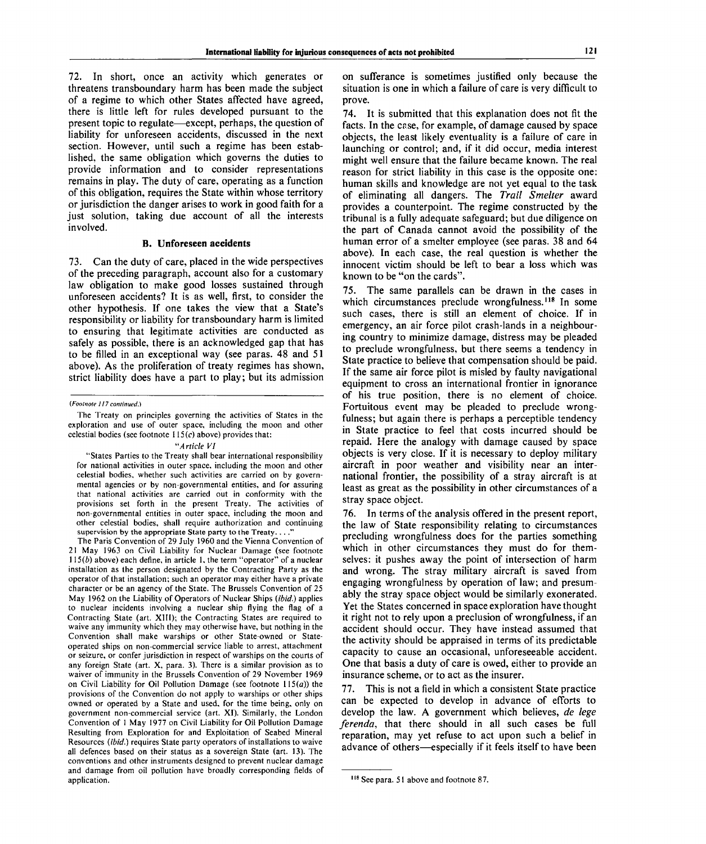72. In short, once an activity which generates or threatens transboundary harm has been made the subject of a regime to which other States affected have agreed, there is little left for rules developed pursuant to the present topic to regulate—except, perhaps, the question of liability for unforeseen accidents, discussed in the next section. However, until such a regime has been established, the same obligation which governs the duties to provide information and to consider representations remains in play. The duty of care, operating as a function of this obligation, requires the State within whose territory or jurisdiction the danger arises to work in good faith for a just solution, taking due account of all the interests involved.

#### **B. Unforeseen accidents**

73. Can the duty of care, placed in the wide perspectives of the preceding paragraph, account also for a customary law obligation to make good losses sustained through unforeseen accidents? It is as well, first, to consider the other hypothesis. If one takes the view that a State's responsibility or liability for transboundary harm is limited to ensuring that legitimate activities are conducted as safely as possible, there is an acknowledged gap that has to be filled in an exceptional way (see paras. 48 and 51 above). As the proliferation of treaty regimes has shown, strict liability does have a part to play; but its admission

#### *"Article VI*

"States Parties to the Treaty shall bear international responsibility for national activities in outer space, including the moon and other celestial bodies, whether such activities are carried on by governmental agencies or by non-governmental entities, and for assuring that national activities are carried out in conformity with the provisions set forth in the present Treaty. The activities of non-governmental entities in outer space, including the moon and other celestial bodies, shall require authorization and continuing supervision by the appropriate State party to the Treaty....

The Paris Convention of 29 July 1960 and the Vienna Convention of 21 May 1963 on Civil Liability for Nuclear Damage (see footnote  $115(b)$  above) each define, in article 1, the term "operator" of a nuclear installation as the person designated by the Contracting Party as the operator of that installation; such an operator may either have a private character or be an agency of the State. The Brussels Convention of 25 May 1962 on the Liability of Operators of Nuclear Ships *(ibid.)* applies to nuclear incidents involving a nuclear ship flying the flag of a Contracting State (art. XIII); the Contracting States are required to waive any immunity which they may otherwise have, but nothing in the Convention shall make warships or other State-owned or Stateoperated ships on non-commercial service liable to arrest, attachment or seizure, or confer jurisdiction in respect of warships on the courts of any foreign State (art. X, para. 3). There is a similar provision as to waiver of immunity in the Brussels Convention of 29 November 1969 on Civil Liability for Oil Pollution Damage (see footnote  $115(a)$ ) the provisions of the Convention do not apply to warships or other ships owned or operated by a State and used, for the time being, only on government non-commercial service (art. XI). Similarly, the London Convention of 1 May 1977 on Civil Liability for Oil Pollution Damage Resulting from Exploration for and Exploitation of Seabed Mineral Resources *(ibid.)* requires State party operators of installations to waive all defences based on their status as a sovereign State (art. 13). The conventions and other instruments designed to prevent nuclear damage conventions and other manuments designed to prevent nuclear damage anu uamag<br>annlication

on sufferance is sometimes justified only because the situation is one in which a failure of care is very difficult to prove.

74. It is submitted that this explanation does not fit the facts. In the case, for example, of damage caused by space objects, the least likely eventuality is a failure of care in launching or control; and, if it did occur, media interest might well ensure that the failure became known. The real reason for strict liability in this case is the opposite one: human skills and knowledge are not yet equal to the task of eliminating all dangers. The *Trail Smelter* award provides a counterpoint. The regime constructed by the tribunal is a fully adequate safeguard; but due diligence on the part of Canada cannot avoid the possibility of the human error of a smelter employee (see paras. 38 and 64 above). In each case, the real question is whether the innocent victim should be left to bear a loss which was known to be "on the cards".

75. The same parallels can be drawn in the cases in which circumstances preclude wrongfulness.<sup>118</sup> In some such cases, there is still an element of choice. If in emergency, an air force pilot crash-lands in a neighbouring country to minimize damage, distress may be pleaded to preclude wrongfulness, but there seems a tendency in State practice to believe that compensation should be paid. If the same air force pilot is misled by faulty navigational equipment to cross an international frontier in ignorance of his true position, there is no element of choice. Fortuitous event may be pleaded to preclude wrongfulness; but again there is perhaps a perceptible tendency in State practice to feel that costs incurred should be repaid. Here the analogy with damage caused by space objects is very close. If it is necessary to deploy military aircraft in poor weather and visibility near an international frontier, the possibility of a stray aircraft is at least as great as the possibility in other circumstances of a stray space object.

76. In terms of the analysis offered in the present report, the law of State responsibility relating to circumstances precluding wrongfulness does for the parties something which in other circumstances they must do for themselves: it pushes away the point of intersection of harm and wrong. The stray military aircraft is saved from engaging wrongfulness by operation of law; and presumably the stray space object would be similarly exonerated. Yet the States concerned in space exploration have thought it right not to rely upon a preclusion of wrongfulness, if an accident should occur. They have instead assumed that the activity should be appraised in terms of its predictable capacity to cause an occasional, unforeseeable accident. One that basis a duty of care is owed, either to provide an insurance scheme, or to act as the insurer.

77. This is not a field in which a consistent State practice can be expected to develop in advance of efforts to develop the law. A government which believes, *de lege ferenda,* that there should in all such cases be full reparation, may yet refuse to act upon such a belief in advance of others—especially if it feels itself to have been

*<sup>(</sup>Footnote 117 continued.)*

The Treaty on principles governing the activities of States in the exploration and use of outer space, including the moon and other celestial bodies (see footnote  $115(c)$  above) provides that:

See para. 51 above and footnote 87.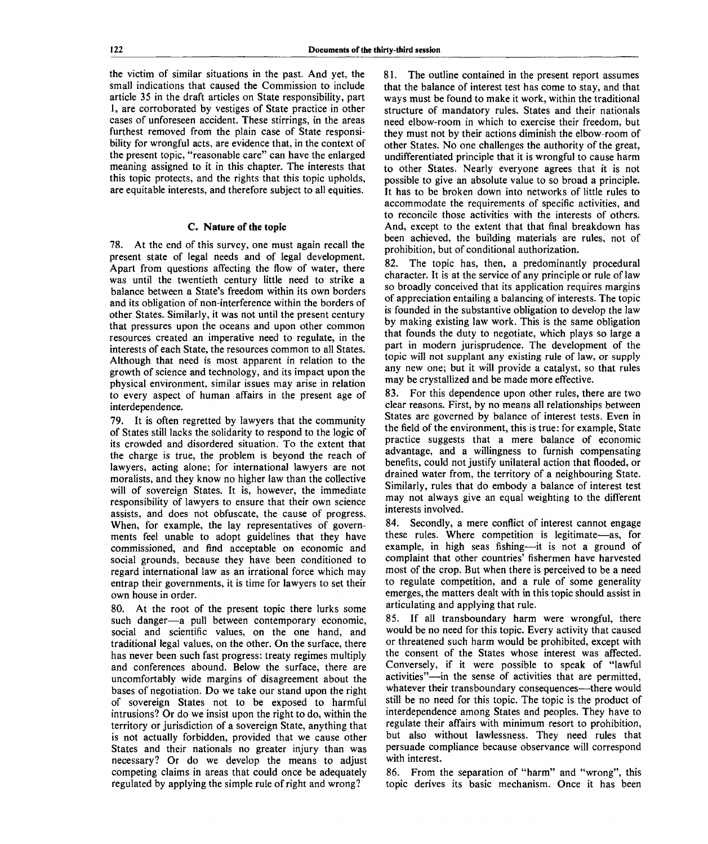the victim of similar situations in the past. And yet, the small indications that caused the Commission to include article 35 in the draft articles on State responsibility, part 1, are corroborated by vestiges of State practice in other cases of unforeseen accident. These stirrings, in the areas furthest removed from the plain case of State responsibility for wrongful acts, are evidence that, in the context of the present topic, "reasonable care" can have the enlarged meaning assigned to it in this chapter. The interests that this topic protects, and the rights that this topic upholds, are equitable interests, and therefore subject to all equities.

### **C. Nature of the topic**

78. At the end of this survey, one must again recall the present state of legal needs and of legal development. Apart from questions affecting the flow of water, there was until the twentieth century little need to strike a balance between a State's freedom within its own borders and its obligation of non-interference within the borders of other States. Similarly, it was not until the present century that pressures upon the oceans and upon other common resources created an imperative need to regulate, in the interests of each State, the resources common to all States. Although that need is most apparent in relation to the growth of science and technology, and its impact upon the physical environment, similar issues may arise in relation to every aspect of human affairs in the present age of interdependence.

79. It is often regretted by lawyers that the community of States still lacks the solidarity to respond to the logic of its crowded and disordered situation. To the extent that the charge is true, the problem is beyond the reach of lawyers, acting alone; for international lawyers are not moralists, and they know no higher law than the collective will of sovereign States. It is, however, the immediate responsibility of lawyers to ensure that their own science assists, and does not obfuscate, the cause of progress. When, for example, the lay representatives of governments feel unable to adopt guidelines that they have commissioned, and find acceptable on economic and social grounds, because they have been conditioned to regard international law as an irrational force which may entrap their governments, it is time for lawyers to set their own house in order.

80. At the root of the present topic there lurks some such danger—a pull between contemporary economic, social and scientific values, on the one hand, and traditional legal values, on the other. On the surface, there has never been such fast progress: treaty regimes multiply and conferences abound. Below the surface, there are uncomfortably wide margins of disagreement about the bases of negotiation. Do we take our stand upon the right of sovereign States not to be exposed to harmful intrusions? Or do we insist upon the right to do, within the territory or jurisdiction of a sovereign State, anything that is not actually forbidden, provided that we cause other States and their nationals no greater injury than was necessary? Or do we develop the means to adjust competing claims in areas that could once be adequately regulated by applying the simple rule of right and wrong?

81. The outline contained in the present report assumes that the balance of interest test has come to stay, and that ways must be found to make it work, within the traditional structure of mandatory rules. States and their nationals need elbow-room in which to exercise their freedom, but they must not by their actions diminish the elbow-room of other States. No one challenges the authority of the great, undifferentiated principle that it is wrongful to cause harm to other States. Nearly everyone agrees that it is not possible to give an absolute value to so broad a principle. It has to be broken down into networks of little rules to accommodate the requirements of specific activities, and to reconcile those activities with the interests of others. And, except to the extent that that final breakdown has been achieved, the building materials are rules, not of prohibition, but of conditional authorization.

82. The topic has, then, a predominantly procedural character. It is at the service of any principle or rule of law so broadly conceived that its application requires margins of appreciation entailing a balancing of interests. The topic is founded in the substantive obligation to develop the law by making existing law work. This is the same obligation that founds the duty to negotiate, which plays so large a part in modern jurisprudence. The development of the topic will not supplant any existing rule of law, or supply any new one; but it will provide a catalyst, so that rules may be crystallized and be made more effective.

83. For this dependence upon other rules, there are two clear reasons. First, by no means all relationships between States are governed by balance of interest tests. Even in the field of the environment, this is true: for example, State practice suggests that a mere balance of economic advantage, and a willingness to furnish compensating benefits, could not justify unilateral action that flooded, or drained water from, the territory of a neighbouring State. Similarly, rules that do embody a balance of interest test may not always give an equal weighting to the different interests involved.

84. Secondly, a mere conflict of interest cannot engage these rules. Where competition is legitimate—as, for example, in high seas fishing—it is not a ground of complaint that other countries' fishermen have harvested most of the crop. But when there is perceived to be a need to regulate competition, and a rule of some generality emerges, the matters dealt with in this topic should assist in articulating and applying that rule.

85. If all transboundary harm were wrongful, there would be no need for this topic. Every activity that caused or threatened such harm would be prohibited, except with the consent of the States whose interest was affected. Conversely, if it were possible to speak of "lawful activities"—in the sense of activities that are permitted, whatever their transboundary consequences—there would still be no need for this topic. The topic is the product of interdependence among States and peoples. They have to regulate their affairs with minimum resort to prohibition, but also without lawlessness. They need rules that persuade compliance because observance will correspond with interest.

86. From the separation of "harm" and "wrong", this topic derives its basic mechanism. Once it has been